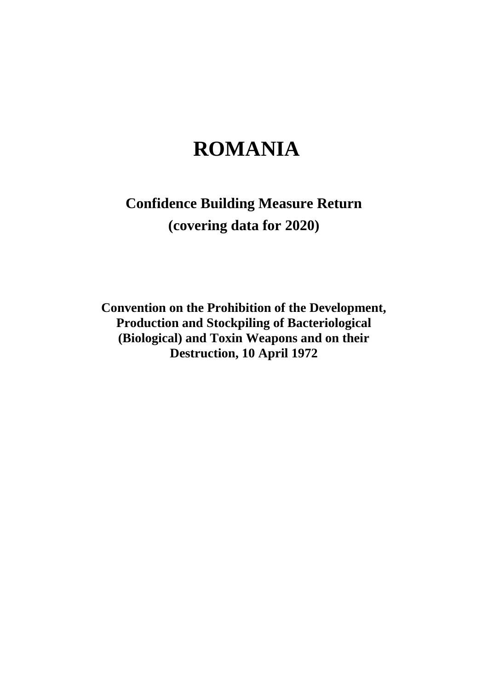# **ROMANIA**

# **Confidence Building Measure Return (covering data for 2020)**

**Convention on the Prohibition of the Development, Production and Stockpiling of Bacteriological (Biological) and Toxin Weapons and on their Destruction, 10 April 1972**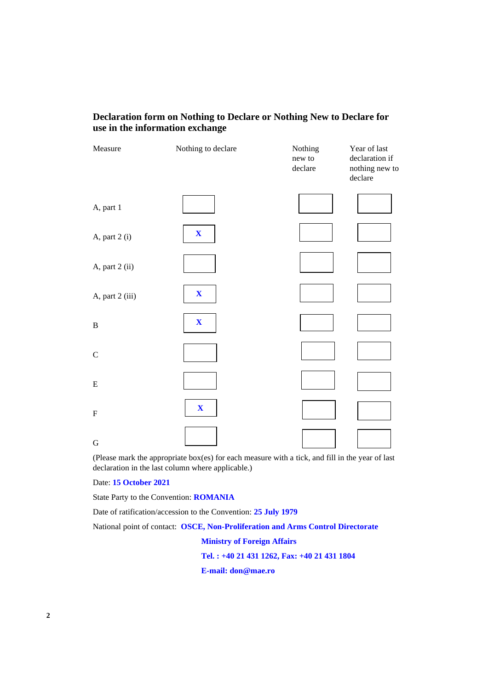# **Declaration form on Nothing to Declare or Nothing New to Declare for use in the information exchange**

| Measure         | Nothing to declare        | Nothing<br>new to<br>declare | Year of last<br>declaration if<br>nothing new to<br>declare |
|-----------------|---------------------------|------------------------------|-------------------------------------------------------------|
| A, part 1       |                           |                              |                                                             |
| A, part 2 (i)   | $\boldsymbol{\mathrm{X}}$ |                              |                                                             |
| A, part 2 (ii)  |                           |                              |                                                             |
| A, part 2 (iii) | $\mathbf{X}$              |                              |                                                             |
| $\, {\bf B}$    | $\mathbf X$               |                              |                                                             |
| $\mathbf C$     |                           |                              |                                                             |
| ${\bf E}$       |                           |                              |                                                             |
| ${\bf F}$       | $\boldsymbol{\mathrm{X}}$ |                              |                                                             |
| $\mathbf G$     |                           |                              |                                                             |

(Please mark the appropriate box(es) for each measure with a tick, and fill in the year of last declaration in the last column where applicable.)

Date: **15 October 2021**

State Party to the Convention: **ROMANIA**

Date of ratification/accession to the Convention: **25 July 1979**

National point of contact: **OSCE, Non-Proliferation and Arms Control Directorate**

**Ministry of Foreign Affairs**

**Tel. : +40 21 431 1262, Fax: +40 21 431 1804**

**E-mail: don@mae.ro**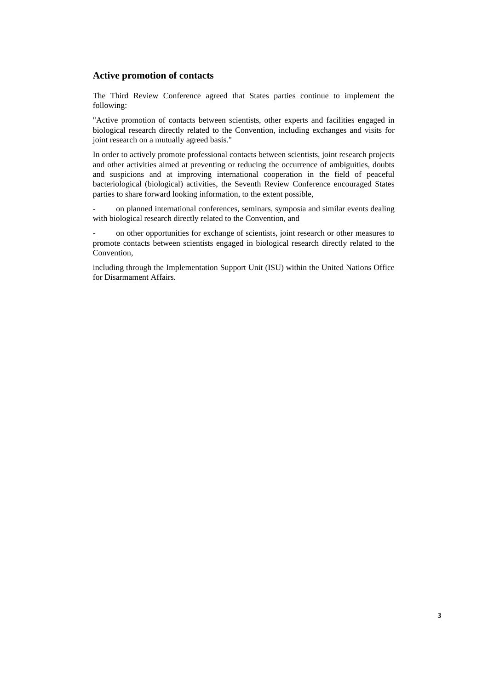## **Active promotion of contacts**

The Third Review Conference agreed that States parties continue to implement the following:

"Active promotion of contacts between scientists, other experts and facilities engaged in biological research directly related to the Convention, including exchanges and visits for joint research on a mutually agreed basis."

In order to actively promote professional contacts between scientists, joint research projects and other activities aimed at preventing or reducing the occurrence of ambiguities, doubts and suspicions and at improving international cooperation in the field of peaceful bacteriological (biological) activities, the Seventh Review Conference encouraged States parties to share forward looking information, to the extent possible,

on planned international conferences, seminars, symposia and similar events dealing with biological research directly related to the Convention, and

on other opportunities for exchange of scientists, joint research or other measures to promote contacts between scientists engaged in biological research directly related to the Convention,

including through the Implementation Support Unit (ISU) within the United Nations Office for Disarmament Affairs.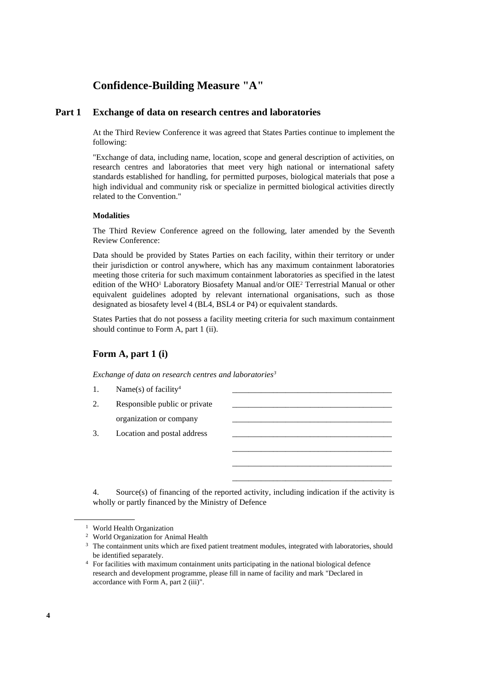# **Confidence-Building Measure "A"**

# **Part 1 Exchange of data on research centres and laboratories**

At the Third Review Conference it was agreed that States Parties continue to implement the following:

"Exchange of data, including name, location, scope and general description of activities, on research centres and laboratories that meet very high national or international safety standards established for handling, for permitted purposes, biological materials that pose a high individual and community risk or specialize in permitted biological activities directly related to the Convention."

#### **Modalities**

The Third Review Conference agreed on the following, later amended by the Seventh Review Conference:

Data should be provided by States Parties on each facility, within their territory or under their jurisdiction or control anywhere, which has any maximum containment laboratories meeting those criteria for such maximum containment laboratories as specified in the latest edition of the WHO<sup>1</sup> Laboratory Biosafety Manual and/or OIE<sup>2</sup> Terrestrial Manual or other equivalent guidelines adopted by relevant international organisations, such as those designated as biosafety level 4 (BL4, BSL4 or P4) or equivalent standards.

States Parties that do not possess a facility meeting criteria for such maximum containment should continue to Form A, part 1 (ii).

## **Form A, part 1 (i)**

*Exchange of data on research centres and laboratories<sup>3</sup>*

|    | Name(s) of facility <sup>4</sup> |  |
|----|----------------------------------|--|
| 2. | Responsible public or private    |  |
|    | organization or company          |  |
|    | Location and postal address      |  |
|    |                                  |  |

\_\_\_\_\_\_\_\_\_\_\_\_\_\_\_\_\_\_\_\_\_\_\_\_\_\_\_\_\_\_\_\_\_\_\_\_\_\_\_ \_\_\_\_\_\_\_\_\_\_\_\_\_\_\_\_\_\_\_\_\_\_\_\_\_\_\_\_\_\_\_\_\_\_\_\_\_\_\_ \_\_\_\_\_\_\_\_\_\_\_\_\_\_\_\_\_\_\_\_\_\_\_\_\_\_\_\_\_\_\_\_\_\_\_\_\_\_\_

4. Source(s) of financing of the reported activity, including indication if the activity is wholly or partly financed by the Ministry of Defence

<sup>1</sup> World Health Organization

<sup>2</sup> World Organization for Animal Health

<sup>&</sup>lt;sup>3</sup> The containment units which are fixed patient treatment modules, integrated with laboratories, should be identified separately.

<sup>4</sup> For facilities with maximum containment units participating in the national biological defence research and development programme, please fill in name of facility and mark "Declared in accordance with Form A, part 2 (iii)".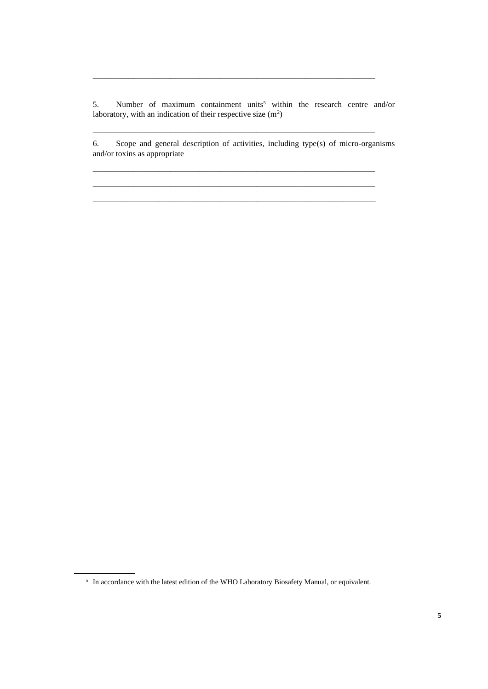5. Number of maximum containment units<sup>5</sup> within the research centre and/or laboratory, with an indication of their respective size  $(m^2)$ 

\_\_\_\_\_\_\_\_\_\_\_\_\_\_\_\_\_\_\_\_\_\_\_\_\_\_\_\_\_\_\_\_\_\_\_\_\_\_\_\_\_\_\_\_\_\_\_\_\_\_\_\_\_\_\_\_\_\_\_\_\_\_\_\_\_\_\_\_\_

\_\_\_\_\_\_\_\_\_\_\_\_\_\_\_\_\_\_\_\_\_\_\_\_\_\_\_\_\_\_\_\_\_\_\_\_\_\_\_\_\_\_\_\_\_\_\_\_\_\_\_\_\_\_\_\_\_\_\_\_\_\_\_\_\_\_\_\_\_

\_\_\_\_\_\_\_\_\_\_\_\_\_\_\_\_\_\_\_\_\_\_\_\_\_\_\_\_\_\_\_\_\_\_\_\_\_\_\_\_\_\_\_\_\_\_\_\_\_\_\_\_\_\_\_\_\_\_\_\_\_\_\_\_\_\_\_\_\_

\_\_\_\_\_\_\_\_\_\_\_\_\_\_\_\_\_\_\_\_\_\_\_\_\_\_\_\_\_\_\_\_\_\_\_\_\_\_\_\_\_\_\_\_\_\_\_\_\_\_\_\_\_\_\_\_\_\_\_\_\_\_\_\_\_\_\_\_\_

6. Scope and general description of activities, including type(s) of micro-organisms and/or toxins as appropriate

\_\_\_\_\_\_\_\_\_\_\_\_\_\_\_\_\_\_\_\_\_\_\_\_\_\_\_\_\_\_\_\_\_\_\_\_\_\_\_\_\_\_\_\_\_\_\_\_\_\_\_\_\_\_\_\_\_\_\_\_\_\_\_\_\_\_\_\_\_

<sup>&</sup>lt;sup>5</sup> In accordance with the latest edition of the WHO Laboratory Biosafety Manual, or equivalent.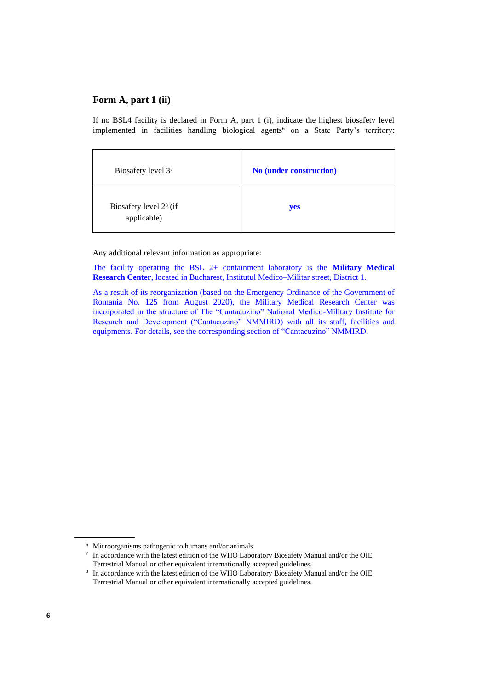If no BSL4 facility is declared in Form A, part 1 (i), indicate the highest biosafety level implemented in facilities handling biological agents<sup>6</sup> on a State Party's territory:

| Biosafety level 37                                | <b>No (under construction)</b> |
|---------------------------------------------------|--------------------------------|
| Biosafety level 2 <sup>8</sup> (if<br>applicable) | yes                            |

Any additional relevant information as appropriate:

The facility operating the BSL 2+ containment laboratory is the **Military Medical Research Center**, located in Bucharest, Institutul Medico–Militar street, District 1.

As a result of its reorganization (based on the Emergency Ordinance of the Government of Romania No. 125 from August 2020), the Military Medical Research Center was incorporated in the structure of The "Cantacuzino" National Medico-Military Institute for Research and Development ("Cantacuzino" NMMIRD) with all its staff, facilities and equipments. For details, see the corresponding section of "Cantacuzino" NMMIRD.

<sup>6</sup> Microorganisms pathogenic to humans and/or animals

<sup>7</sup> In accordance with the latest edition of the WHO Laboratory Biosafety Manual and/or the OIE Terrestrial Manual or other equivalent internationally accepted guidelines.

<sup>8</sup> In accordance with the latest edition of the WHO Laboratory Biosafety Manual and/or the OIE Terrestrial Manual or other equivalent internationally accepted guidelines.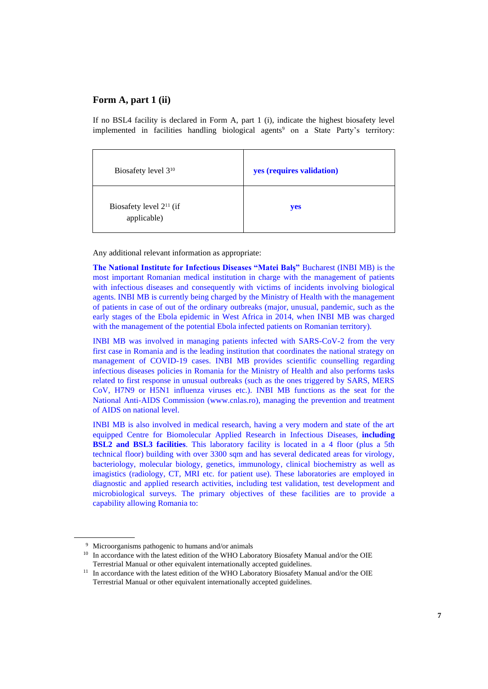If no BSL4 facility is declared in Form A, part 1 (i), indicate the highest biosafety level implemented in facilities handling biological agents<sup>9</sup> on a State Party's territory:

| Biosafety level 3 <sup>10</sup>             | yes (requires validation) |
|---------------------------------------------|---------------------------|
| Biosafety level $2^{11}$ (if<br>applicable) | yes                       |

Any additional relevant information as appropriate:

**The National Institute for Infectious Diseases "Matei Balș"** Bucharest (INBI MB) is the most important Romanian medical institution in charge with the management of patients with infectious diseases and consequently with victims of incidents involving biological agents. INBI MB is currently being charged by the Ministry of Health with the management of patients in case of out of the ordinary outbreaks (major, unusual, pandemic, such as the early stages of the Ebola epidemic in West Africa in 2014, when INBI MB was charged with the management of the potential Ebola infected patients on Romanian territory).

INBI MB was involved in managing patients infected with SARS-CoV-2 from the very first case in Romania and is the leading institution that coordinates the national strategy on management of COVID-19 cases. INBI MB provides scientific counselling regarding infectious diseases policies in Romania for the Ministry of Health and also performs tasks related to first response in unusual outbreaks (such as the ones triggered by SARS, MERS CoV, H7N9 or H5N1 influenza viruses etc.). INBI MB functions as the seat for the National Anti-AIDS Commission (www.cnlas.ro), managing the prevention and treatment of AIDS on national level.

INBI MB is also involved in medical research, having a very modern and state of the art equipped Centre for Biomolecular Applied Research in Infectious Diseases, **including BSL2 and BSL3 facilities**. This laboratory facility is located in a 4 floor (plus a 5th technical floor) building with over 3300 sqm and has several dedicated areas for virology, bacteriology, molecular biology, genetics, immunology, clinical biochemistry as well as imagistics (radiology, CT, MRI etc. for patient use). These laboratories are employed in diagnostic and applied research activities, including test validation, test development and microbiological surveys. The primary objectives of these facilities are to provide a capability allowing Romania to:

<sup>9</sup> Microorganisms pathogenic to humans and/or animals

<sup>&</sup>lt;sup>10</sup> In accordance with the latest edition of the WHO Laboratory Biosafety Manual and/or the OIE Terrestrial Manual or other equivalent internationally accepted guidelines.

<sup>&</sup>lt;sup>11</sup> In accordance with the latest edition of the WHO Laboratory Biosafety Manual and/or the OIE Terrestrial Manual or other equivalent internationally accepted guidelines.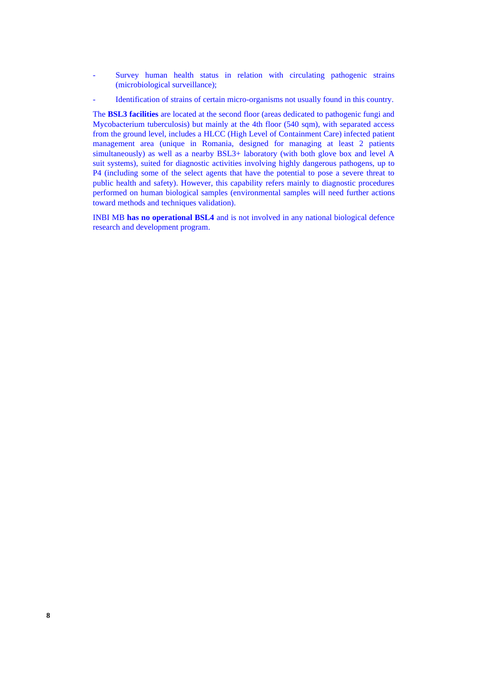- Survey human health status in relation with circulating pathogenic strains (microbiological surveillance);
- Identification of strains of certain micro-organisms not usually found in this country.

The **BSL3 facilities** are located at the second floor (areas dedicated to pathogenic fungi and Mycobacterium tuberculosis) but mainly at the 4th floor (540 sqm), with separated access from the ground level, includes a HLCC (High Level of Containment Care) infected patient management area (unique in Romania, designed for managing at least 2 patients simultaneously) as well as a nearby BSL3+ laboratory (with both glove box and level A suit systems), suited for diagnostic activities involving highly dangerous pathogens, up to P4 (including some of the select agents that have the potential to pose a severe threat to public health and safety). However, this capability refers mainly to diagnostic procedures performed on human biological samples (environmental samples will need further actions toward methods and techniques validation).

INBI MB **has no operational BSL4** and is not involved in any national biological defence research and development program.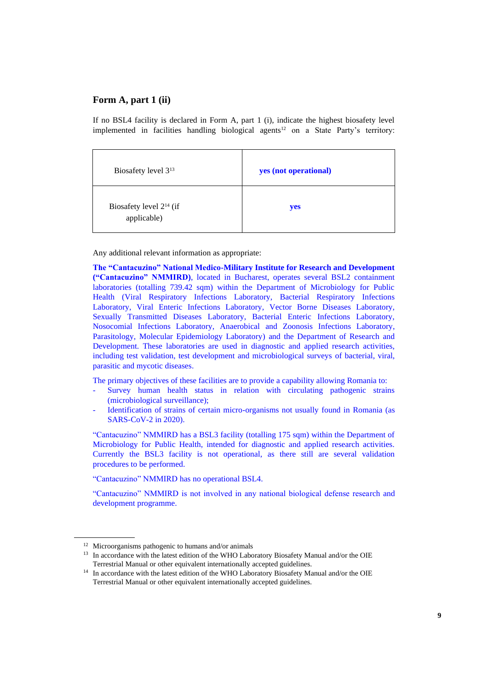If no BSL4 facility is declared in Form A, part 1 (i), indicate the highest biosafety level implemented in facilities handling biological agents<sup>12</sup> on a State Party's territory:

| Biosafety level 3 <sup>13</sup>             | yes (not operational) |
|---------------------------------------------|-----------------------|
| Biosafety level $2^{14}$ (if<br>applicable) | yes                   |

Any additional relevant information as appropriate:

**The "Cantacuzino" National Medico-Military Institute for Research and Development ("Cantacuzino" NMMIRD)**, located in Bucharest, operates several BSL2 containment laboratories (totalling 739.42 sqm) within the Department of Microbiology for Public Health (Viral Respiratory Infections Laboratory, Bacterial Respiratory Infections Laboratory, Viral Enteric Infections Laboratory, Vector Borne Diseases Laboratory, Sexually Transmitted Diseases Laboratory, Bacterial Enteric Infections Laboratory, Nosocomial Infections Laboratory, Anaerobical and Zoonosis Infections Laboratory, Parasitology, Molecular Epidemiology Laboratory) and the Department of Research and Development. These laboratories are used in diagnostic and applied research activities, including test validation, test development and microbiological surveys of bacterial, viral, parasitic and mycotic diseases.

The primary objectives of these facilities are to provide a capability allowing Romania to:

- Survey human health status in relation with circulating pathogenic strains (microbiological surveillance);
- Identification of strains of certain micro-organisms not usually found in Romania (as SARS-CoV-2 in 2020).

"Cantacuzino" NMMIRD has a BSL3 facility (totalling 175 sqm) within the Department of Microbiology for Public Health, intended for diagnostic and applied research activities. Currently the BSL3 facility is not operational, as there still are several validation procedures to be performed.

"Cantacuzino" NMMIRD has no operational BSL4.

"Cantacuzino" NMMIRD is not involved in any national biological defense research and development programme.

<sup>12</sup> Microorganisms pathogenic to humans and/or animals

<sup>&</sup>lt;sup>13</sup> In accordance with the latest edition of the WHO Laboratory Biosafety Manual and/or the OIE Terrestrial Manual or other equivalent internationally accepted guidelines.

<sup>&</sup>lt;sup>14</sup> In accordance with the latest edition of the WHO Laboratory Biosafety Manual and/or the OIE Terrestrial Manual or other equivalent internationally accepted guidelines.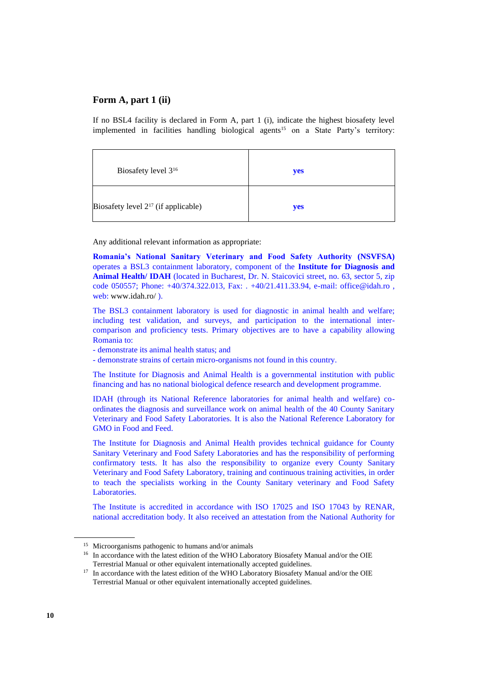If no BSL4 facility is declared in Form A, part 1 (i), indicate the highest biosafety level implemented in facilities handling biological agents<sup>15</sup> on a State Party's territory:

| Biosafety level 3 <sup>16</sup>          | yes |
|------------------------------------------|-----|
| Biosafety level $2^{17}$ (if applicable) | yes |

Any additional relevant information as appropriate:

**Romania's National Sanitary Veterinary and Food Safety Authority (NSVFSA)** operates a BSL3 containment laboratory, component of the **Institute for Diagnosis and Animal Health/ IDAH** (located in Bucharest, Dr. N. Staicovici street, no. 63, sector 5, zip code 050557; Phone: +40/374.322.013, Fax: . +40/21.411.33.94, e-mail: office@idah.ro , web: [www.idah.ro/](http://www.idah.ro/) ).

The BSL3 containment laboratory is used for diagnostic in animal health and welfare; including test validation, and surveys, and participation to the international intercomparison and proficiency tests. Primary objectives are to have a capability allowing Romania to:

- demonstrate its animal health status; and

- demonstrate strains of certain micro-organisms not found in this country.

The Institute for Diagnosis and Animal Health is a governmental institution with public financing and has no national biological defence research and development programme.

IDAH (through its National Reference laboratories for animal health and welfare) coordinates the diagnosis and surveillance work on animal health of the 40 County Sanitary Veterinary and Food Safety Laboratories. It is also the National Reference Laboratory for GMO in Food and Feed.

The Institute for Diagnosis and Animal Health provides technical guidance for County Sanitary Veterinary and Food Safety Laboratories and has the responsibility of performing confirmatory tests. It has also the responsibility to organize every County Sanitary Veterinary and Food Safety Laboratory, training and continuous training activities, in order to teach the specialists working in the County Sanitary veterinary and Food Safety Laboratories.

The Institute is accredited in accordance with ISO 17025 and ISO 17043 by RENAR, national accreditation body. It also received an attestation from the National Authority for

<sup>15</sup> Microorganisms pathogenic to humans and/or animals

<sup>&</sup>lt;sup>16</sup> In accordance with the latest edition of the WHO Laboratory Biosafety Manual and/or the OIE Terrestrial Manual or other equivalent internationally accepted guidelines.

<sup>&</sup>lt;sup>17</sup> In accordance with the latest edition of the WHO Laboratory Biosafety Manual and/or the OIE Terrestrial Manual or other equivalent internationally accepted guidelines.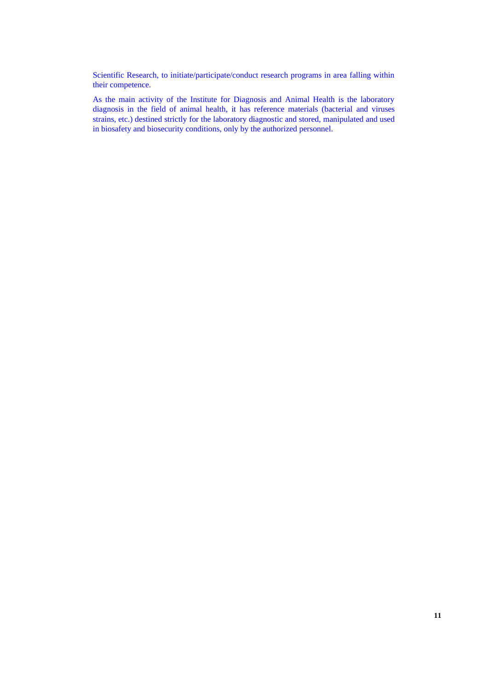Scientific Research, to initiate/participate/conduct research programs in area falling within their competence.

As the main activity of the Institute for Diagnosis and Animal Health is the laboratory diagnosis in the field of animal health, it has reference materials (bacterial and viruses strains, etc.) destined strictly for the laboratory diagnostic and stored, manipulated and used in biosafety and biosecurity conditions, only by the authorized personnel.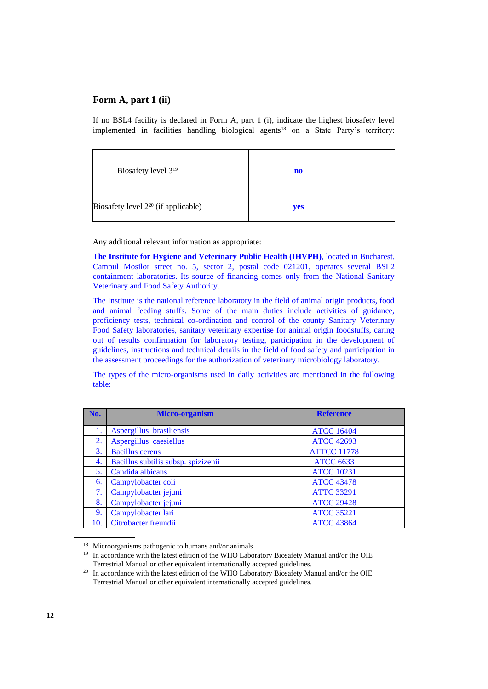If no BSL4 facility is declared in Form A, part 1 (i), indicate the highest biosafety level implemented in facilities handling biological agents<sup>18</sup> on a State Party's territory:

| Biosafety level 3 <sup>19</sup>          | no  |
|------------------------------------------|-----|
| Biosafety level $2^{20}$ (if applicable) | yes |

Any additional relevant information as appropriate:

**The Institute for Hygiene and Veterinary Public Health (IHVPH)**, located in Bucharest, Campul Mosilor street no. 5, sector 2, postal code 021201, operates several BSL2 containment laboratories. Its source of financing comes only from the National Sanitary Veterinary and Food Safety Authority.

The Institute is the national reference laboratory in the field of animal origin products, food and animal feeding stuffs. Some of the main duties include activities of guidance, proficiency tests, technical co-ordination and control of the county Sanitary Veterinary Food Safety laboratories, sanitary veterinary expertise for animal origin foodstuffs, caring out of results confirmation for laboratory testing, participation in the development of guidelines, instructions and technical details in the field of food safety and participation in the assessment proceedings for the authorization of veterinary microbiology laboratory.

The types of the micro-organisms used in daily activities are mentioned in the following table:

| No. | <b>Micro-organism</b>               | <b>Reference</b>   |
|-----|-------------------------------------|--------------------|
|     | Aspergillus brasiliensis            | <b>ATCC 16404</b>  |
| 2.  | Aspergillus caesiellus              | <b>ATCC 42693</b>  |
| 3.  | <b>Bacillus</b> cereus              | <b>ATTCC 11778</b> |
| 4.  | Bacillus subtilis subsp. spizizenii | <b>ATCC 6633</b>   |
| 5.  | Candida albicans                    | <b>ATCC 10231</b>  |
| 6.  | Campylobacter coli                  | <b>ATCC 43478</b>  |
| 7.  | Campylobacter jejuni                | <b>ATTC 33291</b>  |
| 8.  | Campylobacter jejuni                | <b>ATCC 29428</b>  |
| 9.  | Campylobacter lari                  | <b>ATCC 35221</b>  |
| 10. | Citrobacter freundii                | <b>ATCC 43864</b>  |

<sup>18</sup> Microorganisms pathogenic to humans and/or animals

<sup>&</sup>lt;sup>19</sup> In accordance with the latest edition of the WHO Laboratory Biosafety Manual and/or the OIE Terrestrial Manual or other equivalent internationally accepted guidelines.

<sup>&</sup>lt;sup>20</sup> In accordance with the latest edition of the WHO Laboratory Biosafety Manual and/or the OIE Terrestrial Manual or other equivalent internationally accepted guidelines.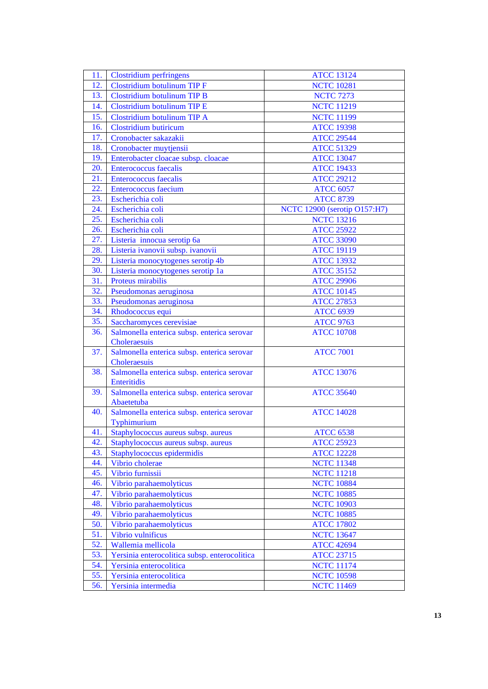| 11. | Clostridium perfringens                       | <b>ATCC 13124</b>            |
|-----|-----------------------------------------------|------------------------------|
| 12. | <b>Clostridium botulinum TIP F</b>            | <b>NCTC 10281</b>            |
| 13. | Clostridium botulinum TIP B                   | <b>NCTC 7273</b>             |
| 14. | Clostridium botulinum TIP E                   | <b>NCTC 11219</b>            |
| 15. | Clostridium botulinum TIP A                   | <b>NCTC 11199</b>            |
| 16. | <b>Clostridium butiricum</b>                  | <b>ATCC 19398</b>            |
| 17. | Cronobacter sakazakii                         | <b>ATCC 29544</b>            |
| 18. | Cronobacter muytjensii                        | <b>ATCC 51329</b>            |
| 19. | Enterobacter cloacae subsp. cloacae           | <b>ATCC 13047</b>            |
| 20. | <b>Enterococcus</b> faecalis                  | <b>ATCC 19433</b>            |
| 21. | <b>Enterococcus</b> faecalis                  | <b>ATCC 29212</b>            |
| 22. | Enterococcus faecium                          | <b>ATCC 6057</b>             |
| 23. | Escherichia coli                              | <b>ATCC 8739</b>             |
| 24. | Escherichia coli                              | NCTC 12900 (serotip O157:H7) |
| 25. | Escherichia coli                              | <b>NCTC 13216</b>            |
| 26. | Escherichia coli                              | <b>ATCC 25922</b>            |
| 27. | Listeria innocua serotip 6a                   | <b>ATCC 33090</b>            |
| 28. | Listeria ivanovii subsp. ivanovii             | <b>ATCC 19119</b>            |
| 29. | Listeria monocytogenes serotip 4b             | <b>ATCC 13932</b>            |
| 30. | Listeria monocytogenes serotip 1a             | <b>ATCC 35152</b>            |
| 31. | Proteus mirabilis                             | <b>ATCC 29906</b>            |
| 32. | Pseudomonas aeruginosa                        | <b>ATCC 10145</b>            |
| 33. | Pseudomonas aeruginosa                        | <b>ATCC 27853</b>            |
| 34. | Rhodococcus equi                              | <b>ATCC 6939</b>             |
| 35. | Saccharomyces cerevisiae                      | <b>ATCC 9763</b>             |
| 36. | Salmonella enterica subsp. enterica serovar   | <b>ATCC 10708</b>            |
|     | Choleraesuis                                  |                              |
| 37. | Salmonella enterica subsp. enterica serovar   | <b>ATCC 7001</b>             |
|     | Choleraesuis                                  |                              |
| 38. | Salmonella enterica subsp. enterica serovar   | <b>ATCC 13076</b>            |
|     | Enteritidis                                   |                              |
| 39. | Salmonella enterica subsp. enterica serovar   | <b>ATCC 35640</b>            |
|     | Abaetetuba                                    |                              |
| 40. | Salmonella enterica subsp. enterica serovar   | <b>ATCC 14028</b>            |
|     | Typhimurium                                   |                              |
| 41. | Staphylococcus aureus subsp. aureus           | <b>ATCC 6538</b>             |
| 42. | Staphylococcus aureus subsp. aureus           | <b>ATCC 25923</b>            |
| 43. | Staphylococcus epidermidis                    | <b>ATCC 12228</b>            |
| 44. | Vibrio cholerae                               | <b>NCTC 11348</b>            |
| 45. | Vibrio furnissii                              | <b>NCTC 11218</b>            |
| 46. | Vibrio parahaemolyticus                       | <b>NCTC 10884</b>            |
| 47. | Vibrio parahaemolyticus                       | <b>NCTC 10885</b>            |
| 48. | Vibrio parahaemolyticus                       | <b>NCTC 10903</b>            |
| 49. | Vibrio parahaemolyticus                       | <b>NCTC 10885</b>            |
| 50. | Vibrio parahaemolyticus                       | <b>ATCC 17802</b>            |
| 51. | Vibrio vulnificus                             | <b>NCTC 13647</b>            |
| 52. | Wallemia mellicola                            | <b>ATCC 42694</b>            |
| 53. | Yersinia enterocolitica subsp. enterocolitica | <b>ATCC 23715</b>            |
| 54. | Yersinia enterocolitica                       | <b>NCTC 11174</b>            |
| 55. | Yersinia enterocolitica                       | <b>NCTC 10598</b>            |
| 56. | Yersinia intermedia                           | <b>NCTC 11469</b>            |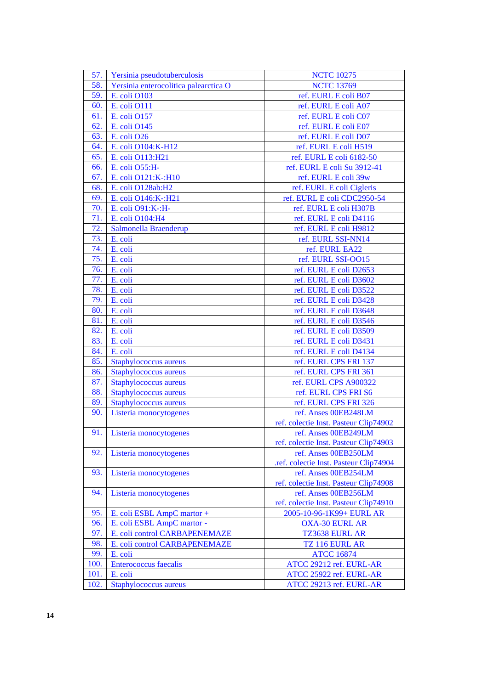| 57.  | Yersinia pseudotuberculosis           | <b>NCTC 10275</b>                      |
|------|---------------------------------------|----------------------------------------|
| 58.  | Yersinia enterocolitica palearctica O | <b>NCTC 13769</b>                      |
| 59.  | E. coli O103                          | ref. EURL E coli B07                   |
| 60.  | E. coli O111                          | ref. EURL E coli A07                   |
| 61.  | E. coli O157                          | ref. EURL E coli C07                   |
| 62.  | E. coli O145                          | ref. EURL E coli E07                   |
| 63.  | E. coli O26                           | ref. EURL E coli D07                   |
| 64.  | E. coli O104:K-H12                    | ref. EURL E coli H519                  |
| 65.  | E. coli O113:H21                      | ref. EURL E coli 6182-50               |
| 66.  | E. coli O55:H-                        | ref. EURL E coli Su 3912-41            |
| 67.  | E. coli O121:K-:H10                   | ref. EURL E coli 39w                   |
| 68.  | E. coli O128ab:H2                     | ref. EURL E coli Cigleris              |
| 69.  |                                       |                                        |
|      | E. coli O146:K-:H21                   | ref. EURL E coli CDC2950-54            |
| 70.  | E. coli O91:K-:H-                     | ref. EURL E coli H307B                 |
| 71.  | E. coli O104:H4                       | ref. EURL E coli D4116                 |
| 72.  | Salmonella Braenderup                 | ref. EURL E coli H9812                 |
| 73.  | E. coli                               | ref. EURL SSI-NN14                     |
| 74.  | E. coli                               | ref. EURL EA22                         |
| 75.  | E. coli                               | ref. EURL SSI-OO15                     |
| 76.  | E. coli                               | ref. EURL E coli D2653                 |
| 77.  | E. coli                               | ref. EURL E coli D3602                 |
| 78.  | E. coli                               | ref. EURL E coli D3522                 |
| 79.  | E. coli                               | ref. EURL E coli D3428                 |
| 80.  | E. coli                               | ref. EURL E coli D3648                 |
| 81.  | E. coli                               | ref. EURL E coli D3546                 |
| 82.  | E. coli                               | ref. EURL E coli D3509                 |
| 83.  | E. coli                               | ref. EURL E coli D3431                 |
| 84.  | E. coli                               | ref. EURL E coli D4134                 |
| 85.  | Staphylococcus aureus                 | ref. EURL CPS FRI 137                  |
| 86.  | Staphylococcus aureus                 | ref. EURL CPS FRI 361                  |
| 87.  | Staphylococcus aureus                 | ref. EURL CPS A900322                  |
| 88.  | Staphylococcus aureus                 | ref. EURL CPS FRI S6                   |
| 89.  | Staphylococcus aureus                 | ref. EURL CPS FRI 326                  |
| 90.  | Listeria monocytogenes                | ref. Anses 00EB248LM                   |
|      |                                       | ref. colectie Inst. Pasteur Clip74902  |
| 91.  | Listeria monocytogenes                | ref. Anses 00EB249LM                   |
|      |                                       | ref. colectie Inst. Pasteur Clip74903  |
| 92.  | Listeria monocytogenes                | ref. Anses 00EB250LM                   |
|      |                                       | .ref. colectie Inst. Pasteur Clip74904 |
| 93.  | Listeria monocytogenes                | ref. Anses 00EB254LM                   |
|      |                                       | ref. colectie Inst. Pasteur Clip74908  |
| 94.  | Listeria monocytogenes                | ref. Anses 00EB256LM                   |
|      |                                       | ref. colectie Inst. Pasteur Clip74910  |
| 95.  | E. coli ESBL AmpC martor +            | 2005-10-96-1K99+ EURL AR               |
| 96.  | E. coli ESBL AmpC martor -            | <b>OXA-30 EURL AR</b>                  |
| 97.  | E. coli control CARBAPENEMAZE         | TZ3638 EURL AR                         |
| 98.  | E. coli control CARBAPENEMAZE         | TZ 116 EURL AR                         |
| 99.  | E. coli                               | <b>ATCC 16874</b>                      |
| 100. | <b>Enterococcus</b> faecalis          | ATCC 29212 ref. EURL-AR                |
| 101. | E. coli                               | ATCC 25922 ref. EURL-AR                |
| 102. | Staphylococcus aureus                 | ATCC 29213 ref. EURL-AR                |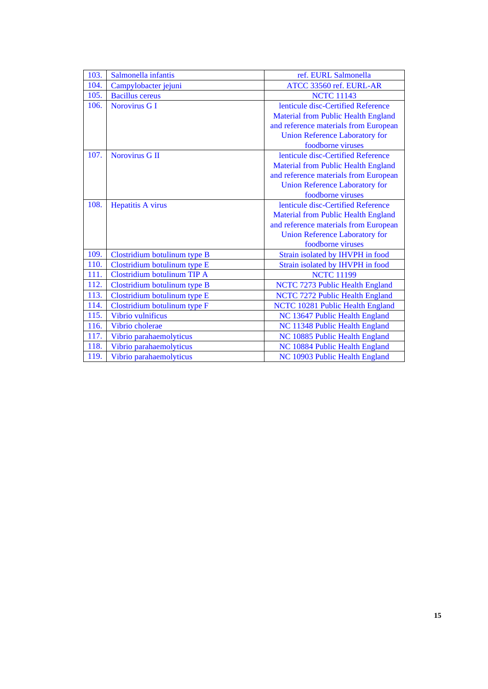| 103. | Salmonella infantis          | ref. EURL Salmonella                       |
|------|------------------------------|--------------------------------------------|
| 104. | Campylobacter jejuni         | ATCC 33560 ref. EURL-AR                    |
| 105. | <b>Bacillus</b> cereus       | <b>NCTC 11143</b>                          |
| 106. | Norovirus G I                | lenticule disc-Certified Reference         |
|      |                              | <b>Material from Public Health England</b> |
|      |                              | and reference materials from European      |
|      |                              | <b>Union Reference Laboratory for</b>      |
|      |                              | foodborne viruses                          |
| 107. | Norovirus G II               | lenticule disc-Certified Reference         |
|      |                              | <b>Material from Public Health England</b> |
|      |                              | and reference materials from European      |
|      |                              | <b>Union Reference Laboratory for</b>      |
|      |                              | foodborne viruses                          |
| 108. | <b>Hepatitis A virus</b>     | lenticule disc-Certified Reference         |
|      |                              | <b>Material from Public Health England</b> |
|      |                              | and reference materials from European      |
|      |                              | <b>Union Reference Laboratory for</b>      |
|      |                              | foodborne viruses                          |
| 109. | Clostridium botulinum type B | Strain isolated by IHVPH in food           |
| 110. | Clostridium botulinum type E | Strain isolated by IHVPH in food           |
| 111. | Clostridium botulinum TIP A  | <b>NCTC 11199</b>                          |
| 112. | Clostridium botulinum type B | NCTC 7273 Public Health England            |
| 113. | Clostridium botulinum type E | NCTC 7272 Public Health England            |
| 114. | Clostridium botulinum type F | NCTC 10281 Public Health England           |
| 115. | Vibrio vulnificus            | NC 13647 Public Health England             |
| 116. | Vibrio cholerae              | NC 11348 Public Health England             |
| 117. | Vibrio parahaemolyticus      | NC 10885 Public Health England             |
| 118. | Vibrio parahaemolyticus      | NC 10884 Public Health England             |
| 119. | Vibrio parahaemolyticus      | NC 10903 Public Health England             |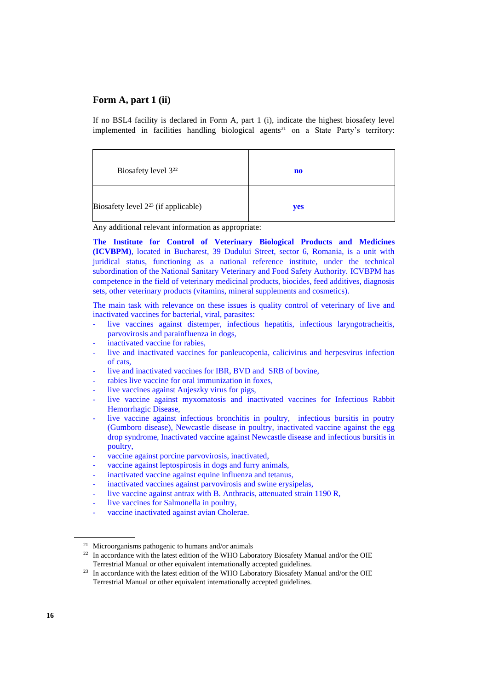If no BSL4 facility is declared in Form A, part 1 (i), indicate the highest biosafety level implemented in facilities handling biological agents<sup>21</sup> on a State Party's territory:

| Biosafety level 3 <sup>22</sup>          | $\mathbf{n}\mathbf{o}$ |
|------------------------------------------|------------------------|
| Biosafety level $2^{23}$ (if applicable) | yes                    |

Any additional relevant information as appropriate:

**The Institute for Control of Veterinary Biological Products and Medicines (ICVBPM)**, located in Bucharest, 39 Dudului Street, sector 6, Romania, is a unit with juridical status, functioning as a national reference institute, under the technical subordination of the National Sanitary Veterinary and Food Safety Authority. ICVBPM has competence in the field of veterinary medicinal products, biocides, feed additives, diagnosis sets, other veterinary products (vitamins, mineral supplements and cosmetics).

The main task with relevance on these issues is quality control of veterinary of live and inactivated vaccines for bacterial, viral, parasites:

- live vaccines against distemper, infectious hepatitis, infectious laryngotracheitis, parvovirosis and parainfluenza in dogs,
- inactivated vaccine for rabies,
- live and inactivated vaccines for panleucopenia, calicivirus and herpesvirus infection of cats,
- live and inactivated vaccines for IBR, BVD and SRB of bovine,
- rabies live vaccine for oral immunization in foxes,
- live vaccines against Aujeszky virus for pigs,
- live vaccine against myxomatosis and inactivated vaccines for Infectious Rabbit Hemorrhagic Disease,
- live vaccine against infectious bronchitis in poultry, infectious bursitis in poutry (Gumboro disease), Newcastle disease in poultry, inactivated vaccine against the egg drop syndrome, Inactivated vaccine against Newcastle disease and infectious bursitis in poultry,
- vaccine against porcine parvovirosis, inactivated,
- vaccine against leptospirosis in dogs and furry animals,
- inactivated vaccine against equine influenza and tetanus,
- inactivated vaccines against parvovirosis and swine erysipelas,
- live vaccine against antrax with B. Anthracis, attenuated strain 1190 R,
- live vaccines for Salmonella in poultry,
- vaccine inactivated against avian Cholerae.

<sup>21</sup> Microorganisms pathogenic to humans and/or animals

 $22$  In accordance with the latest edition of the WHO Laboratory Biosafety Manual and/or the OIE Terrestrial Manual or other equivalent internationally accepted guidelines.

<sup>&</sup>lt;sup>23</sup> In accordance with the latest edition of the WHO Laboratory Biosafety Manual and/or the OIE Terrestrial Manual or other equivalent internationally accepted guidelines.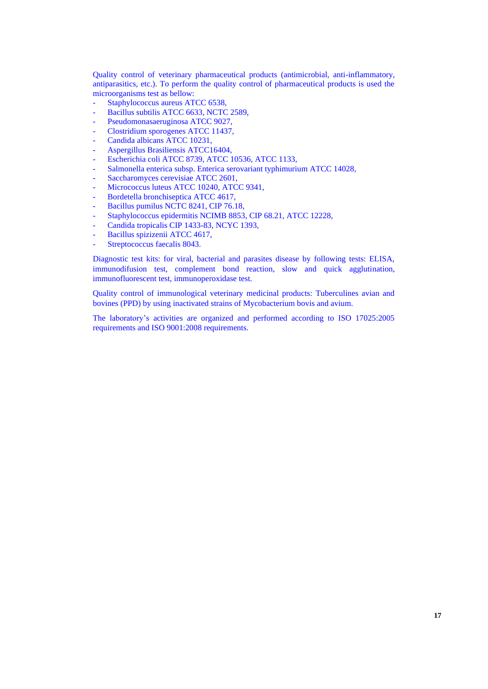Quality control of veterinary pharmaceutical products (antimicrobial, anti-inflammatory, antiparasitics, etc.). To perform the quality control of pharmaceutical products is used the microorganisms test as bellow:

- Staphylococcus aureus ATCC 6538,
- Bacillus subtilis ATCC 6633, NCTC 2589,
- Pseudomonasaeruginosa ATCC 9027,
- Clostridium sporogenes ATCC 11437,
- Candida albicans ATCC 10231,
- Aspergillus Brasiliensis ATCC16404,
- Escherichia coli ATCC 8739, ATCC 10536, ATCC 1133,
- Salmonella enterica subsp. Enterica serovariant typhimurium ATCC 14028,
- Saccharomyces cerevisiae ATCC 2601,
- Micrococcus luteus ATCC 10240, ATCC 9341,
- Bordetella bronchiseptica ATCC 4617,
- Bacillus pumilus NCTC 8241, CIP 76.18,
- Staphylococcus epidermitis NCIMB 8853, CIP 68.21, ATCC 12228,
- Candida tropicalis CIP 1433-83, NCYC 1393,
- Bacillus spizizenii ATCC 4617,
- Streptococcus faecalis 8043.

Diagnostic test kits: for viral, bacterial and parasites disease by following tests: ELISA, immunodifusion test, complement bond reaction, slow and quick agglutination, immunofluorescent test, immunoperoxidase test.

Quality control of immunological veterinary medicinal products: Tuberculines avian and bovines (PPD) by using inactivated strains of Mycobacterium bovis and avium.

The laboratory's activities are organized and performed according to ISO 17025:2005 requirements and ISO 9001:2008 requirements.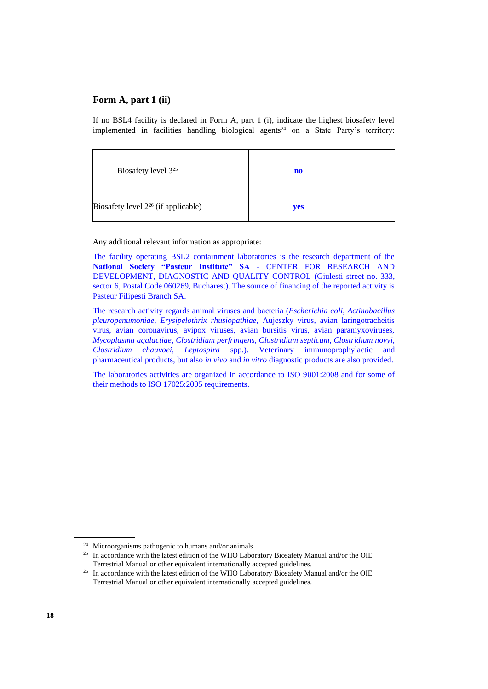If no BSL4 facility is declared in Form A, part 1 (i), indicate the highest biosafety level implemented in facilities handling biological agents<sup>24</sup> on a State Party's territory:

| Biosafety level 3 <sup>25</sup>          | no  |
|------------------------------------------|-----|
| Biosafety level $2^{26}$ (if applicable) | yes |

Any additional relevant information as appropriate:

The facility operating BSL2 containment laboratories is the research department of the **National Society "Pasteur Institute" SA** - CENTER FOR RESEARCH AND DEVELOPMENT, DIAGNOSTIC AND QUALITY CONTROL (Giulesti street no. 333, sector 6, Postal Code 060269, Bucharest). The source of financing of the reported activity is Pasteur Filipesti Branch SA.

The research activity regards animal viruses and bacteria (*Escherichia coli*, *Actinobacillus pleuropenumoniae, Erysipelothrix rhusiopathiae,* Aujeszky virus, avian laringotracheitis virus, avian coronavirus, avipox viruses, avian bursitis virus, avian paramyxoviruses, *Mycoplasma agalactiae*, *Clostridium perfringens, Clostridium septicum, Clostridium novyi, Clostridium chauvoei, Leptospira* spp.). Veterinary immunoprophylactic and pharmaceutical products, but also *in vivo* and *in vitro* diagnostic products are also provided.

The laboratories activities are organized in accordance to ISO 9001:2008 and for some of their methods to ISO 17025:2005 requirements.

<sup>24</sup> Microorganisms pathogenic to humans and/or animals

<sup>&</sup>lt;sup>25</sup> In accordance with the latest edition of the WHO Laboratory Biosafety Manual and/or the OIE Terrestrial Manual or other equivalent internationally accepted guidelines.

<sup>&</sup>lt;sup>26</sup> In accordance with the latest edition of the WHO Laboratory Biosafety Manual and/or the OIE Terrestrial Manual or other equivalent internationally accepted guidelines.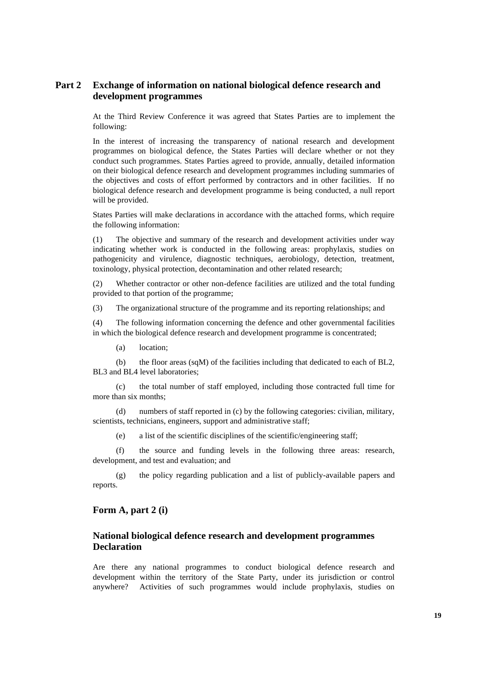# **Part 2 Exchange of information on national biological defence research and development programmes**

At the Third Review Conference it was agreed that States Parties are to implement the following:

In the interest of increasing the transparency of national research and development programmes on biological defence, the States Parties will declare whether or not they conduct such programmes. States Parties agreed to provide, annually, detailed information on their biological defence research and development programmes including summaries of the objectives and costs of effort performed by contractors and in other facilities. If no biological defence research and development programme is being conducted, a null report will be provided.

States Parties will make declarations in accordance with the attached forms, which require the following information:

(1) The objective and summary of the research and development activities under way indicating whether work is conducted in the following areas: prophylaxis, studies on pathogenicity and virulence, diagnostic techniques, aerobiology, detection, treatment, toxinology, physical protection, decontamination and other related research;

(2) Whether contractor or other non-defence facilities are utilized and the total funding provided to that portion of the programme;

(3) The organizational structure of the programme and its reporting relationships; and

(4) The following information concerning the defence and other governmental facilities in which the biological defence research and development programme is concentrated;

(a) location;

(b) the floor areas (sqM) of the facilities including that dedicated to each of BL2, BL3 and BL4 level laboratories;

(c) the total number of staff employed, including those contracted full time for more than six months;

(d) numbers of staff reported in (c) by the following categories: civilian, military, scientists, technicians, engineers, support and administrative staff;

(e) a list of the scientific disciplines of the scientific/engineering staff;

(f) the source and funding levels in the following three areas: research, development, and test and evaluation; and

(g) the policy regarding publication and a list of publicly-available papers and reports.

#### **Form A, part 2 (i)**

## **National biological defence research and development programmes Declaration**

Are there any national programmes to conduct biological defence research and development within the territory of the State Party, under its jurisdiction or control anywhere? Activities of such programmes would include prophylaxis, studies on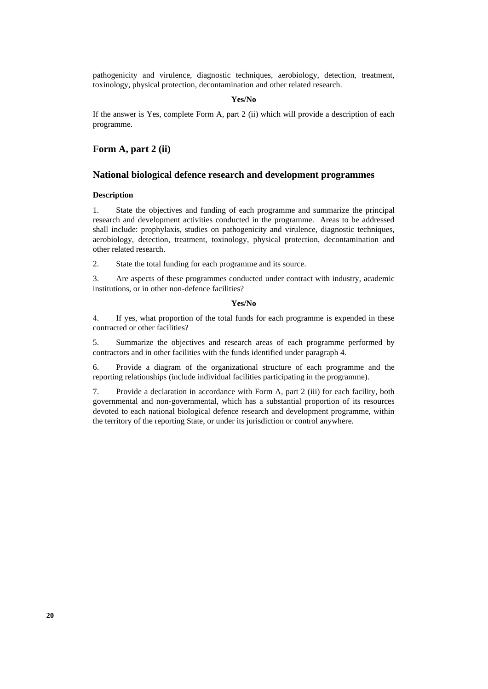pathogenicity and virulence, diagnostic techniques, aerobiology, detection, treatment, toxinology, physical protection, decontamination and other related research.

#### **Yes/No**

If the answer is Yes, complete Form A, part 2 (ii) which will provide a description of each programme.

## **Form A, part 2 (ii)**

### **National biological defence research and development programmes**

#### **Description**

1. State the objectives and funding of each programme and summarize the principal research and development activities conducted in the programme. Areas to be addressed shall include: prophylaxis, studies on pathogenicity and virulence, diagnostic techniques, aerobiology, detection, treatment, toxinology, physical protection, decontamination and other related research.

2. State the total funding for each programme and its source.

3. Are aspects of these programmes conducted under contract with industry, academic institutions, or in other non-defence facilities?

#### **Yes/No**

4. If yes, what proportion of the total funds for each programme is expended in these contracted or other facilities?

5. Summarize the objectives and research areas of each programme performed by contractors and in other facilities with the funds identified under paragraph 4.

6. Provide a diagram of the organizational structure of each programme and the reporting relationships (include individual facilities participating in the programme).

7. Provide a declaration in accordance with Form A, part 2 (iii) for each facility, both governmental and non-governmental, which has a substantial proportion of its resources devoted to each national biological defence research and development programme, within the territory of the reporting State, or under its jurisdiction or control anywhere.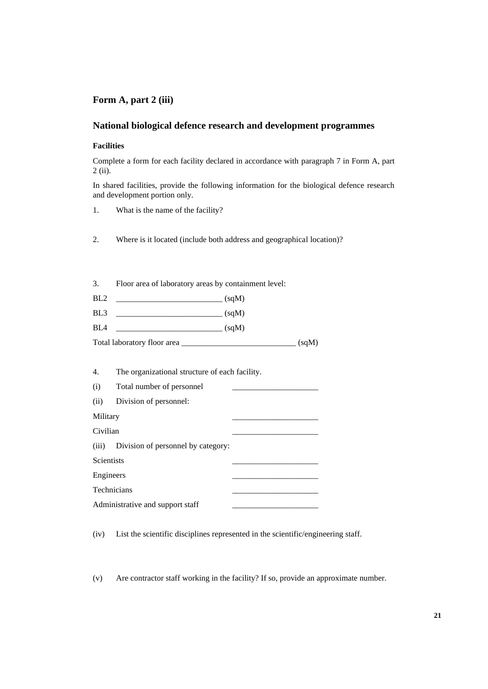# **National biological defence research and development programmes**

#### **Facilities**

Complete a form for each facility declared in accordance with paragraph 7 in Form A, part 2 (ii).

In shared facilities, provide the following information for the biological defence research and development portion only.

- 1. What is the name of the facility?
- 2. Where is it located (include both address and geographical location)?

| 3.  | Floor area of laboratory areas by containment level: |  |  |
|-----|------------------------------------------------------|--|--|
| BL2 | $\sim$ (sqM)                                         |  |  |
| BL3 |                                                      |  |  |
| BL4 |                                                      |  |  |
|     | (sqM)                                                |  |  |

| 4.                | The organizational structure of each facility. |  |  |
|-------------------|------------------------------------------------|--|--|
| (i)               | Total number of personnel                      |  |  |
| (ii)              | Division of personnel:                         |  |  |
| Military          |                                                |  |  |
| Civilian          |                                                |  |  |
| (iii)             | Division of personnel by category:             |  |  |
| <b>Scientists</b> |                                                |  |  |
| Engineers         |                                                |  |  |
| Technicians       |                                                |  |  |
|                   | Administrative and support staff               |  |  |

(iv) List the scientific disciplines represented in the scientific/engineering staff.

(v) Are contractor staff working in the facility? If so, provide an approximate number.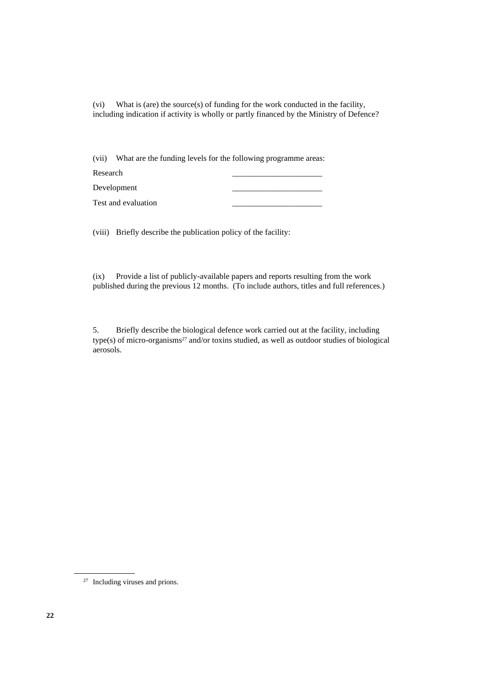(vi) What is (are) the source(s) of funding for the work conducted in the facility, including indication if activity is wholly or partly financed by the Ministry of Defence?

(vii) What are the funding levels for the following programme areas:

| Research            |  |
|---------------------|--|
| Development         |  |
| Test and evaluation |  |

(viii) Briefly describe the publication policy of the facility:

(ix) Provide a list of publicly-available papers and reports resulting from the work published during the previous 12 months. (To include authors, titles and full references.)

5. Briefly describe the biological defence work carried out at the facility, including type(s) of micro-organisms<sup>27</sup> and/or toxins studied, as well as outdoor studies of biological aerosols.

<sup>27</sup> Including viruses and prions.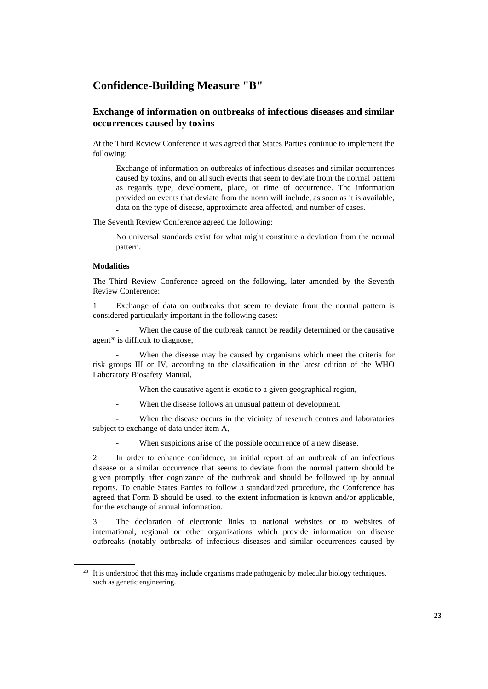# **Confidence-Building Measure "B"**

## **Exchange of information on outbreaks of infectious diseases and similar occurrences caused by toxins**

At the Third Review Conference it was agreed that States Parties continue to implement the following:

Exchange of information on outbreaks of infectious diseases and similar occurrences caused by toxins, and on all such events that seem to deviate from the normal pattern as regards type, development, place, or time of occurrence. The information provided on events that deviate from the norm will include, as soon as it is available, data on the type of disease, approximate area affected, and number of cases.

The Seventh Review Conference agreed the following:

No universal standards exist for what might constitute a deviation from the normal pattern.

#### **Modalities**

The Third Review Conference agreed on the following, later amended by the Seventh Review Conference:

1. Exchange of data on outbreaks that seem to deviate from the normal pattern is considered particularly important in the following cases:

When the cause of the outbreak cannot be readily determined or the causative agent<sup>28</sup> is difficult to diagnose,

When the disease may be caused by organisms which meet the criteria for risk groups III or IV, according to the classification in the latest edition of the WHO Laboratory Biosafety Manual,

- When the causative agent is exotic to a given geographical region,
- When the disease follows an unusual pattern of development,

When the disease occurs in the vicinity of research centres and laboratories subject to exchange of data under item A,

When suspicions arise of the possible occurrence of a new disease.

2. In order to enhance confidence, an initial report of an outbreak of an infectious disease or a similar occurrence that seems to deviate from the normal pattern should be given promptly after cognizance of the outbreak and should be followed up by annual reports. To enable States Parties to follow a standardized procedure, the Conference has agreed that Form B should be used, to the extent information is known and/or applicable, for the exchange of annual information.

3. The declaration of electronic links to national websites or to websites of international, regional or other organizations which provide information on disease outbreaks (notably outbreaks of infectious diseases and similar occurrences caused by

<sup>&</sup>lt;sup>28</sup> It is understood that this may include organisms made pathogenic by molecular biology techniques, such as genetic engineering.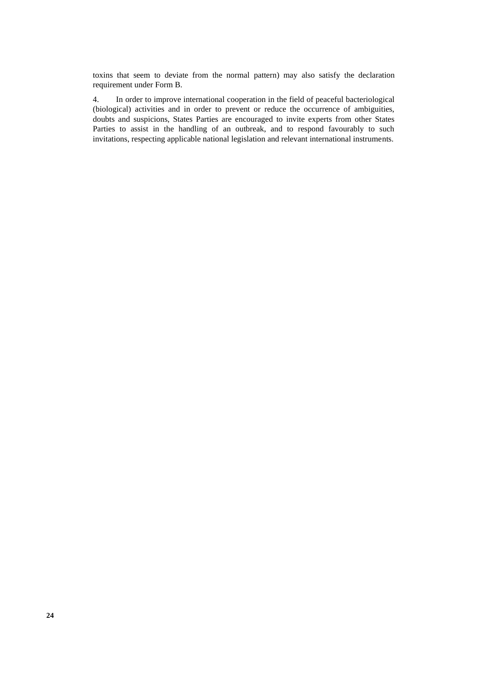toxins that seem to deviate from the normal pattern) may also satisfy the declaration requirement under Form B.

4. In order to improve international cooperation in the field of peaceful bacteriological (biological) activities and in order to prevent or reduce the occurrence of ambiguities, doubts and suspicions, States Parties are encouraged to invite experts from other States Parties to assist in the handling of an outbreak, and to respond favourably to such invitations, respecting applicable national legislation and relevant international instruments.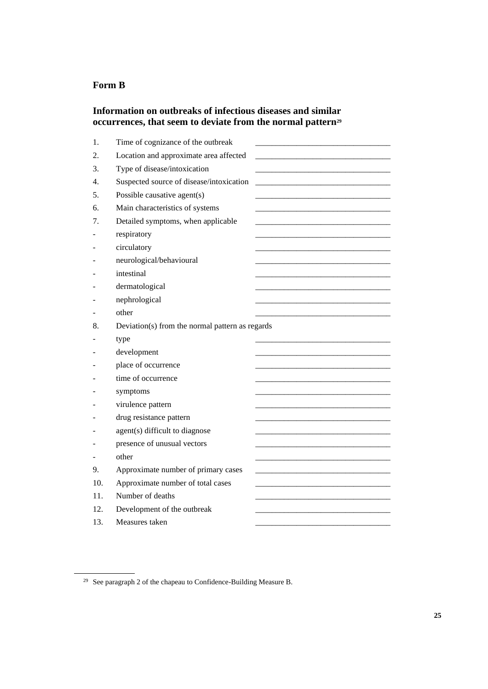# **Form B**

# **Information on outbreaks of infectious diseases and similar occurrences, that seem to deviate from the normal pattern<sup>29</sup>**

| 1.  | Time of cognizance of the outbreak              |  |
|-----|-------------------------------------------------|--|
| 2.  | Location and approximate area affected          |  |
| 3.  | Type of disease/intoxication                    |  |
| 4.  | Suspected source of disease/intoxication        |  |
| 5.  | Possible causative agent(s)                     |  |
| 6.  | Main characteristics of systems                 |  |
| 7.  | Detailed symptoms, when applicable              |  |
|     | respiratory                                     |  |
|     | circulatory                                     |  |
|     | neurological/behavioural                        |  |
|     | intestinal                                      |  |
|     | dermatological                                  |  |
|     | nephrological                                   |  |
|     | other                                           |  |
| 8.  | Deviation(s) from the normal pattern as regards |  |
|     | type                                            |  |
|     | development                                     |  |
|     | place of occurrence                             |  |
|     | time of occurrence                              |  |
|     | symptoms                                        |  |
|     | virulence pattern                               |  |
|     | drug resistance pattern                         |  |
|     | agent(s) difficult to diagnose                  |  |
|     | presence of unusual vectors                     |  |
|     | other                                           |  |
| 9.  | Approximate number of primary cases             |  |
| 10. | Approximate number of total cases               |  |
| 11. | Number of deaths                                |  |
| 12. | Development of the outbreak                     |  |
| 13. | Measures taken                                  |  |

<sup>29</sup> See paragraph 2 of the chapeau to Confidence-Building Measure B.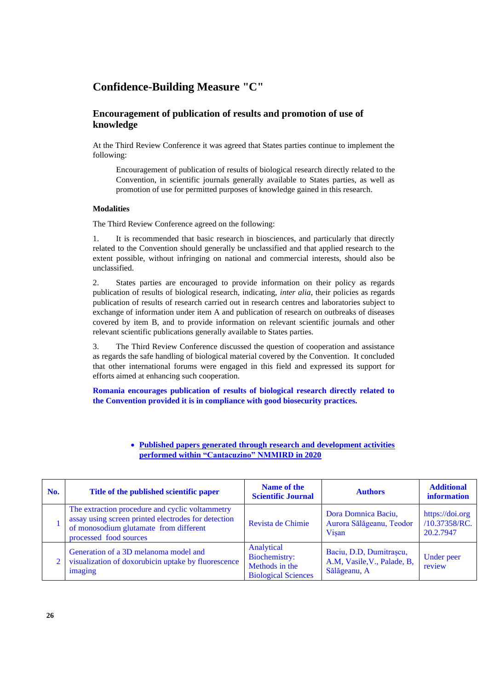# **Confidence-Building Measure "C"**

# **Encouragement of publication of results and promotion of use of knowledge**

At the Third Review Conference it was agreed that States parties continue to implement the following:

Encouragement of publication of results of biological research directly related to the Convention, in scientific journals generally available to States parties, as well as promotion of use for permitted purposes of knowledge gained in this research.

#### **Modalities**

The Third Review Conference agreed on the following:

1. It is recommended that basic research in biosciences, and particularly that directly related to the Convention should generally be unclassified and that applied research to the extent possible, without infringing on national and commercial interests, should also be unclassified.

2. States parties are encouraged to provide information on their policy as regards publication of results of biological research, indicating, *inter alia*, their policies as regards publication of results of research carried out in research centres and laboratories subject to exchange of information under item A and publication of research on outbreaks of diseases covered by item B, and to provide information on relevant scientific journals and other relevant scientific publications generally available to States parties.

3. The Third Review Conference discussed the question of cooperation and assistance as regards the safe handling of biological material covered by the Convention. It concluded that other international forums were engaged in this field and expressed its support for efforts aimed at enhancing such cooperation.

**Romania encourages publication of results of biological research directly related to the Convention provided it is in compliance with good biosecurity practices.**

| No. | Title of the published scientific paper                                                                                                                                    | Name of the<br><b>Scientific Journal</b>                                    | <b>Authors</b>                                                         | <b>Additional</b><br>information              |
|-----|----------------------------------------------------------------------------------------------------------------------------------------------------------------------------|-----------------------------------------------------------------------------|------------------------------------------------------------------------|-----------------------------------------------|
|     | The extraction procedure and cyclic voltammetry<br>assay using screen printed electrodes for detection<br>of monosodium glutamate from different<br>processed food sources | Revista de Chimie                                                           | Dora Domnica Baciu,<br>Aurora Sălăgeanu, Teodor<br>Visan               | https://doi.org<br>/10.37358/RC.<br>20.2.7947 |
|     | Generation of a 3D melanoma model and<br>visualization of doxorubicin uptake by fluorescence<br>imaging                                                                    | Analytical<br>Biochemistry:<br>Methods in the<br><b>Biological Sciences</b> | Baciu, D.D, Dumitrașcu,<br>A.M, Vasile, V., Palade, B,<br>Sălăgeanu, A | Under peer<br>review                          |

## • **Published papers generated through research and development activities performed within "Cantacuzino" NMMIRD in 2020**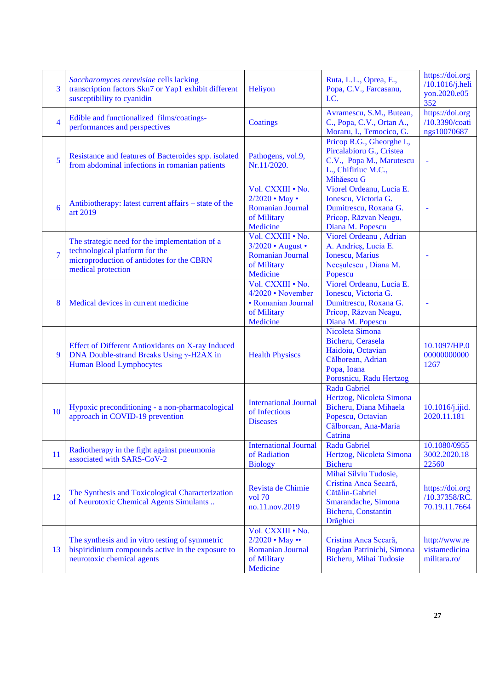| 3              | Saccharomyces cerevisiae cells lacking<br>transcription factors Skn7 or Yap1 exhibit different<br>susceptibility to cyanidin                        | Heliyon                                                                                               | Ruta, L.L., Oprea, E.,<br>Popa, C.V., Farcasanu,<br>I.C.                                                                          | https://doi.org<br>$/10.1016$ /j.heli<br>yon.2020.e05<br>352 |
|----------------|-----------------------------------------------------------------------------------------------------------------------------------------------------|-------------------------------------------------------------------------------------------------------|-----------------------------------------------------------------------------------------------------------------------------------|--------------------------------------------------------------|
| 4              | Edible and functionalized films/coatings-<br>performances and perspectives                                                                          | Coatings                                                                                              | Avramescu, S.M., Butean,<br>C., Popa, C.V., Ortan A.,<br>Moraru, I., Temocico, G.                                                 | https://doi.org<br>/10.3390/coati<br>ngs10070687             |
| 5              | Resistance and features of Bacteroides spp. isolated<br>from abdominal infections in romanian patients                                              | Pathogens, vol.9,<br>Nr.11/2020.                                                                      | Pricop R.G., Gheorghe I.,<br>Pircalabioru G., Cristea<br>C.V., Popa M., Marutescu<br>L., Chifiriuc M.C.,<br>Mihăescu G            |                                                              |
| 6              | Antibiotherapy: latest current affairs – state of the<br>art 2019                                                                                   | Vol. CXXIII . No.<br>$2/2020 \cdot$ May $\cdot$<br><b>Romanian Journal</b><br>of Military<br>Medicine | Viorel Ordeanu, Lucia E.<br>Ionescu, Victoria G.<br>Dumitrescu, Roxana G.<br>Pricop, Răzvan Neagu,<br>Diana M. Popescu            |                                                              |
| $\overline{7}$ | The strategic need for the implementation of a<br>technological platform for the<br>microproduction of antidotes for the CBRN<br>medical protection | Vol. CXXIII . No.<br>3/2020 • August •<br><b>Romanian Journal</b><br>of Military<br>Medicine          | Viorel Ordeanu, Adrian<br>A. Andries, Lucia E.<br><b>Ionescu</b> , Marius<br>Necșulescu, Diana M.<br>Popescu                      |                                                              |
| 8              | Medical devices in current medicine                                                                                                                 | Vol. CXXIII . No.<br>4/2020 • November<br>• Romanian Journal<br>of Military<br>Medicine               | Viorel Ordeanu, Lucia E.<br>Ionescu, Victoria G.<br>Dumitrescu, Roxana G.<br>Pricop, Răzvan Neagu,<br>Diana M. Popescu            |                                                              |
| 9              | <b>Effect of Different Antioxidants on X-ray Induced</b><br>DNA Double-strand Breaks Using y-H2AX in<br><b>Human Blood Lymphocytes</b>              | <b>Health Physiscs</b>                                                                                | Nicoleta Simona<br>Bicheru, Cerasela<br>Haidoiu, Octavian<br>Călborean, Adrian<br>Popa, Ioana<br>Porosnicu, Radu Hertzog          | 10.1097/HP.0<br>00000000000<br>1267                          |
| 10             | Hypoxic preconditioning - a non-pharmacological<br>approach in COVID-19 prevention                                                                  | <b>International Journal</b><br>of Infectious<br><b>Diseases</b>                                      | <b>Radu Gabriel</b><br>Hertzog, Nicoleta Simona<br>Bicheru, Diana Mihaela<br>Popescu, Octavian<br>Călborean, Ana-Maria<br>Catrina | 10.1016/j.ijid.<br>2020.11.181                               |
| 11             | Radiotherapy in the fight against pneumonia<br>associated with SARS-CoV-2                                                                           | <b>International Journal</b><br>of Radiation<br><b>Biology</b>                                        | <b>Radu Gabriel</b><br>Hertzog, Nicoleta Simona<br><b>Bicheru</b>                                                                 | 10.1080/0955<br>3002.2020.18<br>22560                        |
| 12             | The Synthesis and Toxicological Characterization<br>of Neurotoxic Chemical Agents Simulants                                                         | Revista de Chimie<br>$vol$ 70<br>no.11.nov.2019                                                       | Mihai Silviu Tudosie,<br>Cristina Anca Secară,<br>Cătălin-Gabriel<br>Smarandache, Simona<br>Bicheru, Constantin<br>Drăghici       | https://doi.org<br>/10.37358/RC.<br>70.19.11.7664            |
| 13             | The synthesis and in vitro testing of symmetric<br>bispiridinium compounds active in the exposure to<br>neurotoxic chemical agents                  | Vol. CXXIII . No.<br>2/2020 • May ••<br>Romanian Journal<br>of Military<br>Medicine                   | Cristina Anca Secară,<br>Bogdan Patrinichi, Simona<br>Bicheru, Mihai Tudosie                                                      | http://www.re<br>vistamedicina<br>militara.ro/               |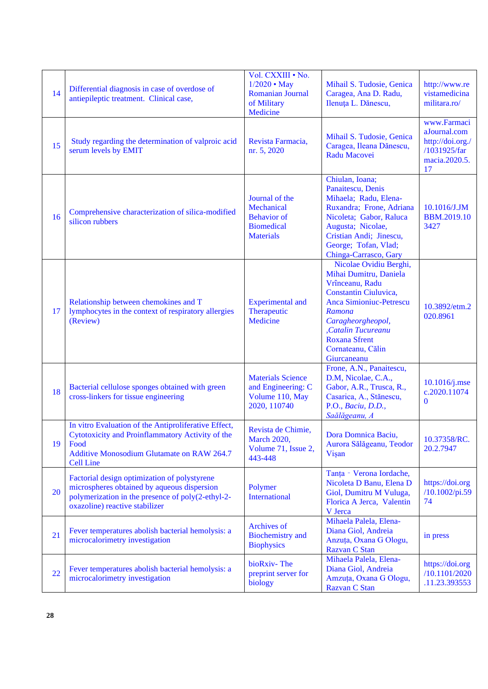| 14 | Differential diagnosis in case of overdose of<br>antiepileptic treatment. Clinical case,                                                                                                  | Vol. CXXIII . No.<br>$1/2020 \cdot May$<br>Romanian Journal<br>of Military<br>Medicine      | Mihail S. Tudosie, Genica<br>Caragea, Ana D. Radu,<br>Ilenuța L. Dănescu,                                                                                                                                                                       | http://www.re<br>vistamedicina<br>militara.ro/                                         |
|----|-------------------------------------------------------------------------------------------------------------------------------------------------------------------------------------------|---------------------------------------------------------------------------------------------|-------------------------------------------------------------------------------------------------------------------------------------------------------------------------------------------------------------------------------------------------|----------------------------------------------------------------------------------------|
| 15 | Study regarding the determination of valproic acid<br>serum levels by EMIT                                                                                                                | Revista Farmacia,<br>nr. 5, 2020                                                            | Mihail S. Tudosie, Genica<br>Caragea, Ileana Dănescu,<br>Radu Macovei                                                                                                                                                                           | www.Farmaci<br>aJournal.com<br>http://doi.org./<br>/1031925/far<br>macia.2020.5.<br>17 |
| 16 | Comprehensive characterization of silica-modified<br>silicon rubbers                                                                                                                      | Journal of the<br>Mechanical<br><b>Behavior</b> of<br><b>Biomedical</b><br><b>Materials</b> | Chiulan, Ioana;<br>Panaitescu, Denis<br>Mihaela; Radu, Elena-<br>Ruxandra; Frone, Adriana<br>Nicoleta; Gabor, Raluca<br>Augusta; Nicolae,<br>Cristian Andi; Jinescu,<br>George; Tofan, Vlad;<br>Chinga-Carrasco, Gary                           | 10.1016/J.JM<br><b>BBM.2019.10</b><br>3427                                             |
| 17 | Relationship between chemokines and T<br>lymphocytes in the context of respiratory allergies<br>(Review)                                                                                  | <b>Experimental</b> and<br>Therapeutic<br>Medicine                                          | Nicolae Ovidiu Berghi,<br>Mihai Dumitru, Daniela<br>Vrînceanu, Radu<br>Constantin Ciuluvica,<br><b>Anca Simioniuc-Petrescu</b><br>Ramona<br>Caragheorgheopol,<br>,Catalin Tucureanu<br><b>Roxana Sfrent</b><br>Cornateanu, Călin<br>Giurcaneanu | 10.3892/etm.2<br>020.8961                                                              |
| 18 | Bacterial cellulose sponges obtained with green<br>cross-linkers for tissue engineering                                                                                                   | <b>Materials Science</b><br>and Engineering: C<br>Volume 110, May<br>2020, 110740           | Frone, A.N., Panaitescu,<br>D.M, Nicolae, C.A.,<br>Gabor, A.R., Trusca, R.,<br>Casarica, A., Stănescu,<br>P.O., Baciu, D.D.,<br>Saălăgeanu, A                                                                                                   | $10.1016$ /j.mse<br>c.2020.11074<br>$\mathbf{0}$                                       |
| 19 | In vitro Evaluation of the Antiproliferative Effect,<br>Cytotoxicity and Proinflammatory Activity of the<br>Food<br><b>Additive Monosodium Glutamate on RAW 264.7</b><br><b>Cell Line</b> | Revista de Chimie,<br><b>March 2020,</b><br>Volume 71, Issue 2,<br>443-448                  | Dora Domnica Baciu,<br>Aurora Sălăgeanu, Teodor<br>Vişan                                                                                                                                                                                        | 10.37358/RC.<br>20.2.7947                                                              |
| 20 | Factorial design optimization of polystyrene<br>microspheres obtained by aqueous dispersion<br>polymerization in the presence of poly(2-ethyl-2-<br>oxazoline) reactive stabilizer        | Polymer<br><b>International</b>                                                             | Tanța - Verona Iordache,<br>Nicoleta D Banu, Elena D<br>Giol, Dumitru M Vuluga,<br>Florica A Jerca, Valentin<br>V Jerca                                                                                                                         | https://doi.org<br>/10.1002/pi.59<br>74                                                |
| 21 | Fever temperatures abolish bacterial hemolysis: a<br>microcalorimetry investigation                                                                                                       | Archives of<br><b>Biochemistry</b> and<br><b>Biophysics</b>                                 | Mihaela Palela, Elena-<br>Diana Giol, Andreia<br>Anzuța, Oxana G Ologu,<br>Razvan C Stan                                                                                                                                                        | in press                                                                               |
| 22 | Fever temperatures abolish bacterial hemolysis: a<br>microcalorimetry investigation                                                                                                       | bioRxiv-The<br>preprint server for<br>biology                                               | Mihaela Palela, Elena-<br>Diana Giol, Andreia<br>Amzuța, Oxana G Ologu,<br>Razvan C Stan                                                                                                                                                        | https://doi.org<br>/10.1101/2020<br>.11.23.393553                                      |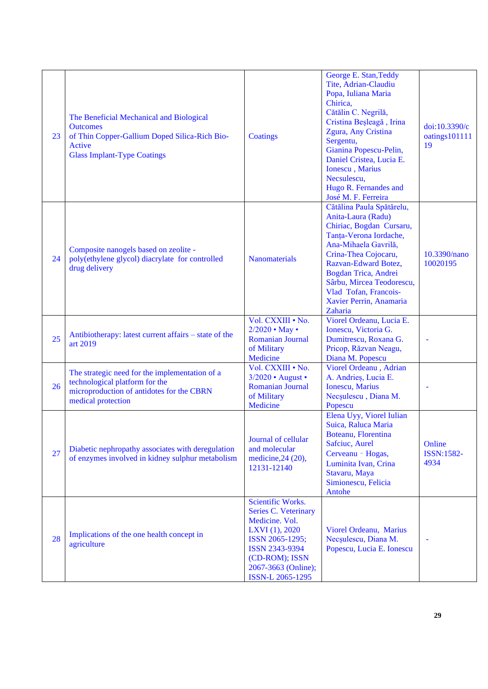| 23 | The Beneficial Mechanical and Biological<br><b>Outcomes</b><br>of Thin Copper-Gallium Doped Silica-Rich Bio-<br>Active<br><b>Glass Implant-Type Coatings</b> | <b>Coatings</b>                                                                                                                                                                        | George E. Stan, Teddy<br>Tite, Adrian-Claudiu<br>Popa, Iuliana Maria<br>Chirica,<br>Cătălin C. Negrilă,<br>Cristina Beșleagă, Irina<br>Zgura, Any Cristina<br>Sergentu,<br>Gianina Popescu-Pelin,<br>Daniel Cristea, Lucia E.<br><b>Ionescu</b> , Marius<br>Necsulescu,<br>Hugo R. Fernandes and<br>José M. F. Ferreira | doi:10.3390/c<br>oatings101111<br>19 |
|----|--------------------------------------------------------------------------------------------------------------------------------------------------------------|----------------------------------------------------------------------------------------------------------------------------------------------------------------------------------------|-------------------------------------------------------------------------------------------------------------------------------------------------------------------------------------------------------------------------------------------------------------------------------------------------------------------------|--------------------------------------|
| 24 | Composite nanogels based on zeolite -<br>poly(ethylene glycol) diacrylate for controlled<br>drug delivery                                                    | <b>Nanomaterials</b>                                                                                                                                                                   | Cătălina Paula Spătărelu,<br>Anita-Laura (Radu)<br>Chiriac, Bogdan Cursaru,<br>Tanța-Verona Iordache,<br>Ana-Mihaela Gavrilă,<br>Crina-Thea Cojocaru,<br>Razvan-Edward Botez,<br>Bogdan Trica, Andrei<br>Sârbu, Mircea Teodorescu,<br>Vlad Tofan, Francois-<br>Xavier Perrin, Anamaria<br>Zaharia                       | 10.3390/nano<br>10020195             |
| 25 | Antibiotherapy: latest current affairs – state of the<br>art 2019                                                                                            | Vol. CXXIII . No.<br>2/2020 • May •<br><b>Romanian Journal</b><br>of Military<br>Medicine                                                                                              | Viorel Ordeanu, Lucia E.<br>Ionescu, Victoria G.<br>Dumitrescu, Roxana G.<br>Pricop, Răzvan Neagu,<br>Diana M. Popescu                                                                                                                                                                                                  |                                      |
| 26 | The strategic need for the implementation of a<br>technological platform for the<br>microproduction of antidotes for the CBRN<br>medical protection          | Vol. CXXIII . No.<br>3/2020 • August •<br><b>Romanian Journal</b><br>of Military<br>Medicine                                                                                           | Viorel Ordeanu, Adrian<br>A. Andrieș, Lucia E.<br><b>Ionescu</b> , Marius<br>Necșulescu, Diana M.<br>Popescu                                                                                                                                                                                                            |                                      |
| 27 | Diabetic nephropathy associates with deregulation<br>of enzymes involved in kidney sulphur metabolism                                                        | Journal of cellular<br>and molecular<br>medicine, 24 (20),<br>12131-12140                                                                                                              | Elena Uyy, Viorel Iulian<br>Suica, Raluca Maria<br>Boteanu, Florentina<br>Safciuc, Aurel<br>Cerveanu - Hogas,<br>Luminita Ivan, Crina<br>Stavaru, Maya<br>Simionescu, Felicia<br>Antohe                                                                                                                                 | Online<br><b>ISSN:1582-</b><br>4934  |
| 28 | Implications of the one health concept in<br>agriculture                                                                                                     | Scientific Works.<br><b>Series C. Veterinary</b><br>Medicine. Vol.<br>LXVI (1), 2020<br>ISSN 2065-1295;<br>ISSN 2343-9394<br>(CD-ROM); ISSN<br>2067-3663 (Online);<br>ISSN-L 2065-1295 | Viorel Ordeanu, Marius<br>Necșulescu, Diana M.<br>Popescu, Lucia E. Ionescu                                                                                                                                                                                                                                             |                                      |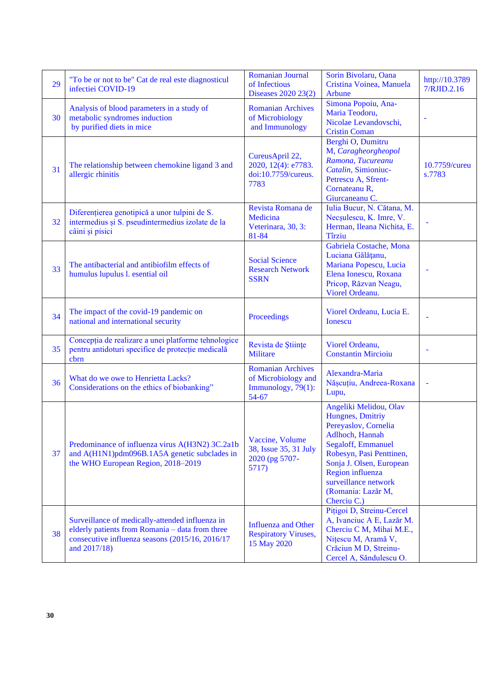| 29 | "To be or not to be" Cat de real este diagnosticul<br>infectiei COVID-19                                                                                               | Romanian Journal<br>of Infectious<br>Diseases 2020 23(2)                       | Sorin Bivolaru, Oana<br>Cristina Voinea, Manuela<br>Arbune                                                                                                                                                                                           | http://10.3789<br>7/RJID.2.16 |
|----|------------------------------------------------------------------------------------------------------------------------------------------------------------------------|--------------------------------------------------------------------------------|------------------------------------------------------------------------------------------------------------------------------------------------------------------------------------------------------------------------------------------------------|-------------------------------|
| 30 | Analysis of blood parameters in a study of<br>metabolic syndromes induction<br>by purified diets in mice                                                               | <b>Romanian Archives</b><br>of Microbiology<br>and Immunology                  | Simona Popoiu, Ana-<br>Maria Teodoru,<br>Nicolae Levandovschi,<br><b>Cristin Coman</b>                                                                                                                                                               |                               |
| 31 | The relationship between chemokine ligand 3 and<br>allergic rhinitis                                                                                                   | CureusApril 22,<br>2020, 12(4): e7783.<br>doi:10.7759/cureus.<br>7783          | Berghi O, Dumitru<br>M, Caragheorgheopol<br>Ramona, Tucureanu<br>Catalin, Simioniuc-<br>Petrescu A, Sfrent-<br>Cornateanu R,<br>Giurcaneanu C.                                                                                                       | 10.7759/cureu<br>s.7783       |
| 32 | Diferențierea genotipică a unor tulpini de S.<br>intermedius și S. pseudintermedius izolate de la<br>câini și pisici                                                   | Revista Romana de<br>Medicina<br>Veterinara, 30, 3:<br>81-84                   | Iulia Bucur, N. Cătana, M.<br>Necșulescu, K. Imre, V.<br>Herman, Ileana Nichita, E.<br><b>Tîrziu</b>                                                                                                                                                 |                               |
| 33 | The antibacterial and antibiofilm effects of<br>humulus lupulus l. esential oil                                                                                        | <b>Social Science</b><br><b>Research Network</b><br><b>SSRN</b>                | Gabriela Costache, Mona<br>Luciana Gălățanu,<br>Mariana Popescu, Lucia<br>Elena Ionescu, Roxana<br>Pricop, Răzvan Neagu,<br>Viorel Ordeanu.                                                                                                          |                               |
| 34 | The impact of the covid-19 pandemic on<br>national and international security                                                                                          | Proceedings                                                                    | Viorel Ordeanu, Lucia E.<br><b>Ionescu</b>                                                                                                                                                                                                           |                               |
| 35 | Concepția de realizare a unei platforme tehnologice<br>pentru antidoturi specifice de protecție medicală<br>cbrn                                                       | Revista de Stiințe<br><b>Militare</b>                                          | Viorel Ordeanu,<br><b>Constantin Mircioiu</b>                                                                                                                                                                                                        |                               |
| 36 | What do we owe to Henrietta Lacks?<br>Considerations on the ethics of biobanking"                                                                                      | <b>Romanian Archives</b><br>of Microbiology and<br>Immunology, 79(1):<br>54-67 | Alexandra-Maria<br>Nășcuțiu, Andreea-Roxana<br>Lupu,                                                                                                                                                                                                 |                               |
| 37 | Predominance of influenza virus A(H3N2) 3C.2a1b<br>and A(H1N1)pdm096B.1A5A genetic subclades in<br>the WHO European Region, 2018–2019                                  | Vaccine, Volume<br>38, Issue 35, 31 July<br>2020 (pg 5707-<br>5717)            | Angeliki Melidou, Olav<br>Hungnes, Dmitriy<br>Pereyaslov, Cornelia<br>Adlhoch, Hannah<br>Segaloff, Emmanuel<br>Robesyn, Pasi Penttinen,<br>Sonja J. Olsen, European<br>Region influenza<br>surveillance network<br>(Romania: Lazăr M,<br>Cherciu C.) |                               |
| 38 | Surveillance of medically-attended influenza in<br>elderly patients from Romania - data from three<br>consecutive influenza seasons (2015/16, 2016/17)<br>and 2017/18) | <b>Influenza and Other</b><br><b>Respiratory Viruses,</b><br>15 May 2020       | Pițigoi D, Streinu-Cercel<br>A, Ivanciuc A E, Lazăr M.<br>Cherciu C M, Mihai M.E.,<br>Nițescu M, Aramă V,<br>Crăciun M D, Streinu-<br>Cercel A, Săndulescu O.                                                                                        |                               |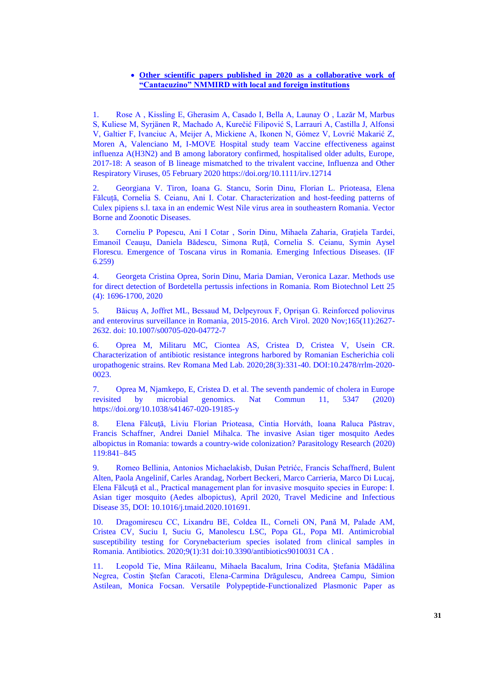#### • **Other scientific papers published in 2020 as a collaborative work of "Cantacuzino" NMMIRD with local and foreign institutions**

1. Rose A , Kissling E, Gherasim A, Casado I, Bella A, Launay O , Lazăr M, Marbus S, Kuliese M, Syrjänen R, Machado A, Kurečić Filipović S, Larrauri A, Castilla J, Alfonsi V, Galtier F, Ivanciuc A, Meijer A, Mickiene A, Ikonen N, Gómez V, Lovrić Makarić Z, Moren A, Valenciano M, I-MOVE Hospital study team Vaccine effectiveness against influenza A(H3N2) and B among laboratory confirmed, hospitalised older adults, Europe, 2017-18: A season of B lineage mismatched to the trivalent vaccine, Influenza and Other Respiratory Viruses, 05 February 2020 https://doi.org/10.1111/irv.12714

2. Georgiana V. Tiron, Ioana G. Stancu, Sorin Dinu, Florian L. Prioteasa, Elena Fălcuță, Cornelia S. Ceianu, Ani I. Cotar. Characterization and host-feeding patterns of Culex pipiens s.l. taxa in an endemic West Nile virus area in southeastern Romania. Vector Borne and Zoonotic Diseases.

3. Corneliu P Popescu, Ani I Cotar , Sorin Dinu, Mihaela Zaharia, Grațiela Tardei, Emanoil Ceaușu, Daniela Bădescu, Simona Ruță, Cornelia S. Ceianu, Symin Aysel Florescu. Emergence of Toscana virus in Romania. Emerging Infectious Diseases. (IF 6.259)

4. Georgeta Cristina Oprea, Sorin Dinu, Maria Damian, Veronica Lazar. Methods use for direct detection of Bordetella pertussis infections in Romania. Rom Biotechnol Lett 25 (4): 1696-1700, 2020

5. Băicuș A, Joffret ML, Bessaud M, Delpeyroux F, Oprișan G. Reinforced poliovirus and enterovirus surveillance in Romania, 2015-2016. Arch Virol. 2020 Nov;165(11):2627- 2632. doi: 10.1007/s00705-020-04772-7

6. Oprea M, Militaru MC, Ciontea AS, Cristea D, Cristea V, Usein CR. Characterization of antibiotic resistance integrons harbored by Romanian Escherichia coli uropathogenic strains. Rev Romana Med Lab. 2020;28(3):331-40. DOI:10.2478/rrlm-2020- 0023.

7. Oprea M, Njamkepo, E, Cristea D. et al. The seventh pandemic of cholera in Europe revisited by microbial genomics. Nat Commun 11, 5347 (2020) https://doi.org/10.1038/s41467-020-19185-y

8. Elena Fălcuţă, Liviu Florian Prioteasa, Cintia Horváth, Ioana Raluca Păstrav, Francis Schaffner, Andrei Daniel Mihalca. The invasive Asian tiger mosquito Aedes albopictus in Romania: towards a country-wide colonization? Parasitology Research (2020) 119:841–845

9. Romeo Bellinia, Antonios Michaelakisb, Dušan Petrićc, Francis Schaffnerd, Bulent Alten, Paola Angelinif, Carles Arandag, Norbert Beckeri, Marco Carrieria, Marco Di Lucaj, Elena Fălcuţă et al., Practical management plan for invasive mosquito species in Europe: I. Asian tiger mosquito (Aedes albopictus), April 2020, Travel Medicine and Infectious Disease 35, DOI: 10.1016/j.tmaid.2020.101691.

10. Dragomirescu CC, Lixandru BE, Coldea IL, Corneli ON, Pană M, Palade AM, Cristea CV, Suciu I, Suciu G, Manolescu LSC, Popa GL, Popa MI. Antimicrobial susceptibility testing for Corynebacterium species isolated from clinical samples in Romania. Antibiotics. 2020;9(1):31 doi:10.3390/antibiotics9010031 CA .

11. Leopold Tie, Mina Răileanu, Mihaela Bacalum, Irina Codita, Ștefania Mădălina Negrea, Costin Ștefan Caracoti, Elena-Carmina Drăgulescu, Andreea Campu, Simion Astilean, Monica Focsan. Versatile Polypeptide-Functionalized Plasmonic Paper as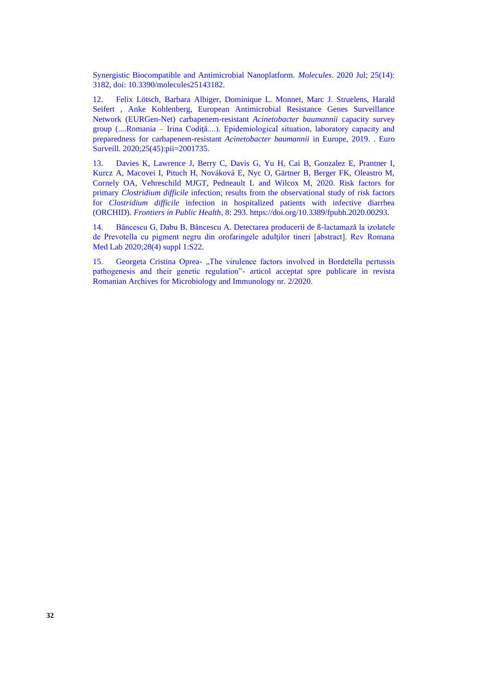Synergistic Biocompatible and Antimicrobial Nanoplatform. *Molecules*. 2020 Jul; 25(14): 3182, doi: 10.3390/molecules25143182.

12. Felix Lötsch, Barbara Albiger, Dominique L. Monnet, Marc J. Struelens, Harald Seifert , Anke Kohlenberg, European Antimicrobial Resistance Genes Surveillance Network (EURGen-Net) carbapenem-resistant *Acinetobacter baumannii* capacity survey group (....Romania – Irina Codiță....). Epidemiological situation, laboratory capacity and preparedness for carbapenem-resistant *Acinetobacter baumannii* in Europe, 2019. . Euro Surveill. 2020;25(45):pii=2001735.

13. Davies K, Lawrence J, Berry C, Davis G, Yu H, Cai B, Gonzalez E, Prantner I, Kurcz A, Macovei I, Pituch H, Nováková E, Nyc O, Gärtner B, Berger FK, Oleastro M, Cornely OA, Vehreschild MJGT, Pedneault L and Wilcox M, 2020. Risk factors for primary *Clostridium difficile* infection; results from the observational study of risk factors for *Clostridium difficile* infection in hospitalized patients with infective diarrhea (ORCHID). *Frontiers in Public Health*, 8: 293. https://doi.org/10.3389/fpubh.2020.00293.

14. Băncescu G, Dabu B, Băncescu A. Detectarea producerii de ß-lactamază la izolatele de Prevotella cu pigment negru din orofaringele adulţilor tineri [abstract]. Rev Romana Med Lab 2020;28(4) suppl 1:S22.

15. Georgeta Cristina Oprea- "The virulence factors involved in Bordetella pertussis pathogenesis and their genetic regulation"- articol acceptat spre publicare in revista Romanian Archives for Microbiology and Immunology nr. 2/2020.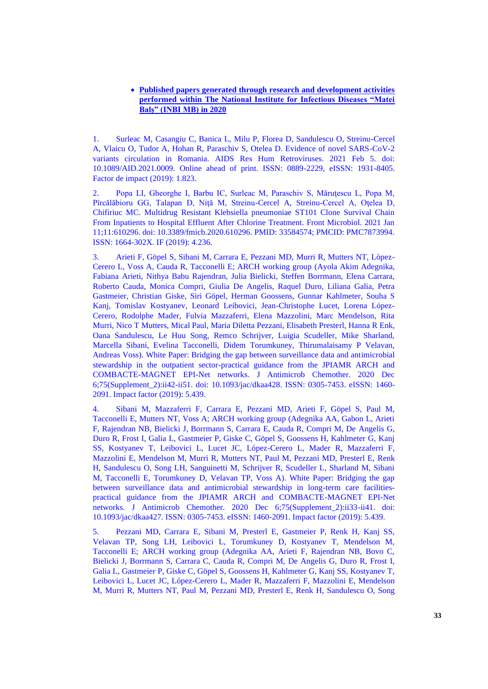### • **Published papers generated through research and development activities performed within The National Institute for Infectious Diseases "Matei Balș" (INBI MB) in 2020**

1. Surleac M, Casangiu C, Banica L, Milu P, Florea D, Sandulescu O, Streinu-Cercel A, Vlaicu O, Tudor A, Hohan R, Paraschiv S, Otelea D. Evidence of novel SARS-CoV-2 variants circulation in Romania. AIDS Res Hum Retroviruses. 2021 Feb 5. doi: 10.1089/AID.2021.0009. Online ahead of print. ISSN: 0889-2229, eISSN: 1931-8405. Factor de impact (2019): 1.823.

2. Popa LI, Gheorghe I, Barbu IC, Surleac M, Paraschiv S, Măruţescu L, Popa M, Pîrcălăbioru GG, Talapan D, Niţă M, Streinu-Cercel A, Streinu-Cercel A, Oţelea D, Chifiriuc MC. Multidrug Resistant Klebsiella pneumoniae ST101 Clone Survival Chain From Inpatients to Hospital Effluent After Chlorine Treatment. Front Microbiol. 2021 Jan 11;11:610296. doi: 10.3389/fmicb.2020.610296. PMID: 33584574; PMCID: PMC7873994. ISSN: 1664-302X. IF (2019): 4.236.

3. Arieti F, Göpel S, Sibani M, Carrara E, Pezzani MD, Murri R, Mutters NT, Lòpez-Cerero L, Voss A, Cauda R, Tacconelli E; ARCH working group (Ayola Akim Adegnika, Fabiana Arieti, Nithya Babu Rajendran, Julia Bielicki, Steffen Borrmann, Elena Carrara, Roberto Cauda, Monica Compri, Giulia De Angelis, Raquel Duro, Liliana Galia, Petra Gastmeier, Christian Giske, Siri Göpel, Herman Goossens, Gunnar Kahlmeter, Souha S Kanj, Tomislav Kostyanev, Leonard Leibovici, Jean-Christophe Lucet, Lorena López-Cerero, Rodolphe Mader, Fulvia Mazzaferri, Elena Mazzolini, Marc Mendelson, Rita Murri, Nico T Mutters, Mical Paul, Maria Diletta Pezzani, Elisabeth Presterl, Hanna R Enk, Oana Sandulescu, Le Huu Song, Remco Schrijver, Luigia Scudeller, Mike Sharland, Marcella Sibani, Evelina Tacconelli, Didem Torumkuney, Thirumalaisamy P Velavan, Andreas Voss). White Paper: Bridging the gap between surveillance data and antimicrobial stewardship in the outpatient sector-practical guidance from the JPIAMR ARCH and COMBACTE-MAGNET EPI-Net networks. J Antimicrob Chemother. 2020 Dec 6;75(Supplement\_2):ii42-ii51. doi: 10.1093/jac/dkaa428. ISSN: 0305-7453. eISSN: 1460- 2091. Impact factor (2019): 5.439.

4. Sibani M, Mazzaferri F, Carrara E, Pezzani MD, Arieti F, Göpel S, Paul M, Tacconelli E, Mutters NT, Voss A; ARCH working group (Adegnika AA, Gabon L, Arieti F, Rajendran NB, Bielicki J, Borrmann S, Carrara E, Cauda R, Compri M, De Angelis G, Duro R, Frost I, Galia L, Gastmeier P, Giske C, Göpel S, Goossens H, Kahlmeter G, Kanj SS, Kostyanev T, Leibovici L, Lucet JC, López-Cerero L, Mader R, Mazzaferri F, Mazzolini E, Mendelson M, Murri R, Mutters NT, Paul M, Pezzani MD, Presterl E, Renk H, Sandulescu O, Song LH, Sanguinetti M, Schrijver R, Scudeller L, Sharland M, Sibani M, Tacconelli E, Torumkuney D, Velavan TP, Voss A). White Paper: Bridging the gap between surveillance data and antimicrobial stewardship in long-term care facilitiespractical guidance from the JPIAMR ARCH and COMBACTE-MAGNET EPI-Net networks. J Antimicrob Chemother. 2020 Dec 6;75(Supplement\_2):ii33-ii41. doi: 10.1093/jac/dkaa427. ISSN: 0305-7453. eISSN: 1460-2091. Impact factor (2019): 5.439.

5. Pezzani MD, Carrara E, Sibani M, Presterl E, Gastmeier P, Renk H, Kanj SS, Velavan TP, Song LH, Leibovici L, Torumkuney D, Kostyanev T, Mendelson M, Tacconelli E; ARCH working group (Adegnika AA, Arieti F, Rajendran NB, Bovo C, Bielicki J, Borrmann S, Carrara C, Cauda R, Compri M, De Angelis G, Duro R, Frost I, Galia L, Gastmeier P, Giske C, Göpel S, Goossens H, Kahlmeter G, Kanj SS, Kostyanev T, Leibovici L, Lucet JC, López-Cerero L, Mader R, Mazzaferri F, Mazzolini E, Mendelson M, Murri R, Mutters NT, Paul M, Pezzani MD, Presterl E, Renk H, Sandulescu O, Song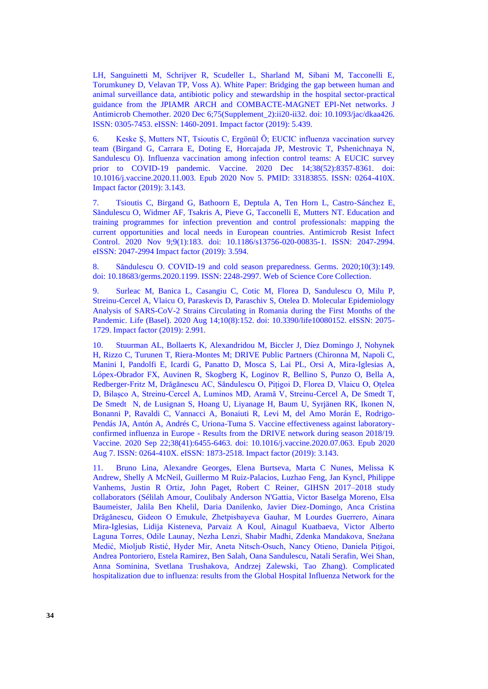LH, Sanguinetti M, Schrijver R, Scudeller L, Sharland M, Sibani M, Tacconelli E, Torumkuney D, Velavan TP, Voss A). White Paper: Bridging the gap between human and animal surveillance data, antibiotic policy and stewardship in the hospital sector-practical guidance from the JPIAMR ARCH and COMBACTE-MAGNET EPI-Net networks. J Antimicrob Chemother. 2020 Dec 6;75(Supplement\_2):ii20-ii32. doi: 10.1093/jac/dkaa426. ISSN: 0305-7453. eISSN: 1460-2091. Impact factor (2019): 5.439.

6. Keske Ş, Mutters NT, Tsioutis C, Ergönül Ö; EUCIC influenza vaccination survey team (Birgand G, Carrara E, Doting E, Horcajada JP, Mestrovic T, Pshenichnaya N, Sandulescu O). Influenza vaccination among infection control teams: A EUCIC survey prior to COVID-19 pandemic. Vaccine. 2020 Dec 14;38(52):8357-8361. doi: 10.1016/j.vaccine.2020.11.003. Epub 2020 Nov 5. PMID: 33183855. ISSN: 0264-410X. Impact factor (2019): 3.143.

7. Tsioutis C, Birgand G, Bathoorn E, Deptula A, Ten Horn L, Castro-Sánchez E, Săndulescu O, Widmer AF, Tsakris A, Pieve G, Tacconelli E, Mutters NT. Education and training programmes for infection prevention and control professionals: mapping the current opportunities and local needs in European countries. Antimicrob Resist Infect Control. 2020 Nov 9;9(1):183. doi: 10.1186/s13756-020-00835-1. ISSN: 2047-2994. eISSN: 2047-2994 Impact factor (2019): 3.594.

8. Săndulescu O. COVID-19 and cold season preparedness. Germs. 2020;10(3):149. doi: 10.18683/germs.2020.1199. ISSN: 2248-2997. Web of Science Core Collection.

9. Surleac M, Banica L, Casangiu C, Cotic M, Florea D, Sandulescu O, Milu P, Streinu-Cercel A, Vlaicu O, Paraskevis D, Paraschiv S, Otelea D. Molecular Epidemiology Analysis of SARS-CoV-2 Strains Circulating in Romania during the First Months of the Pandemic. Life (Basel). 2020 Aug 14;10(8):152. doi: 10.3390/life10080152. eISSN: 2075- 1729. Impact factor (2019): 2.991.

10. Stuurman AL, Bollaerts K, Alexandridou M, Biccler J, Díez Domingo J, Nohynek H, Rizzo C, Turunen T, Riera-Montes M; DRIVE Public Partners (Chironna M, Napoli C, Manini I, Pandolfi E, Icardi G, Panatto D, Mosca S, Lai PL, Orsi A, Mira-Iglesias A, Lópex-Obrador FX, Auvinen R, Skogberg K, Loginov R, Bellino S, Punzo O, Bella A, Redberger-Fritz M, Drăgănescu AC, Săndulescu O, Pițigoi D, Florea D, Vlaicu O, Oțelea D, Bilașco A, Streinu-Cercel A, Luminos MD, Aramă V, Streinu-Cercel A, De Smedt T, De Smedt N, de Lusignan S, Hoang U, Liyanage H, Baum U, Syrjänen RK, Ikonen N, Bonanni P, Ravaldi C, Vannacci A, Bonaiuti R, Levi M, del Amo Morán E, Rodrigo-Pendás JA, Antón A, Andrés C, Uriona-Tuma S. Vaccine effectiveness against laboratoryconfirmed influenza in Europe - Results from the DRIVE network during season 2018/19. Vaccine. 2020 Sep 22;38(41):6455-6463. doi: 10.1016/j.vaccine.2020.07.063. Epub 2020 Aug 7. ISSN: 0264-410X. eISSN: 1873-2518. Impact factor (2019): 3.143.

11. Bruno Lina, Alexandre Georges, Elena Burtseva, Marta C Nunes, Melissa K Andrew, Shelly A McNeil, Guillermo M Ruiz-Palacios, Luzhao Feng, Jan Kyncl, Philippe Vanhems, Justin R Ortiz, John Paget, Robert C Reiner, GIHSN 2017–2018 study collaborators (Sélilah Amour, Coulibaly Anderson N'Gattia, Victor Baselga Moreno, Elsa Baumeister, Jalila Ben Khelil, Daria Danilenko, Javier Diez-Domingo, Anca Cristina Drăgănescu, Gideon O Emukule, Zhetpisbayeva Gauhar, M Lourdes Guerrero, Ainara Mira-Iglesias, Lidija Kisteneva, Parvaiz A Koul, Ainagul Kuatbaeva, Victor Alberto Laguna Torres, Odile Launay, Nezha Lenzi, Shabir Madhi, Zdenka Mandakova, Snežana Medić, Mioljub Ristić, Hyder Mir, Aneta Nitsch-Osuch, Nancy Otieno, Daniela Pițigoi, Andrea Pontoriero, Estela Ramirez, Ben Salah, Oana Sandulescu, Natali Serafin, Wei Shan, Anna Sominina, Svetlana Trushakova, Andrzej Zalewski, Tao Zhang). Complicated hospitalization due to influenza: results from the Global Hospital Influenza Network for the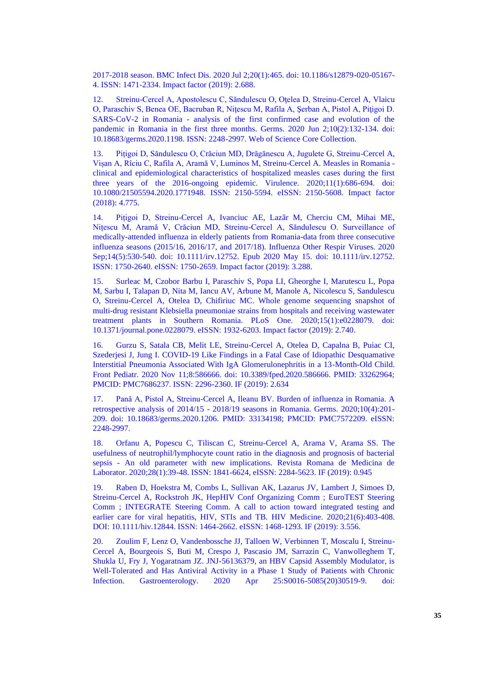2017-2018 season. BMC Infect Dis. 2020 Jul 2;20(1):465. doi: 10.1186/s12879-020-05167- 4. ISSN: 1471-2334. Impact factor (2019): 2.688.

12. Streinu-Cercel A, Apostolescu C, Săndulescu O, Oţelea D, Streinu-Cercel A, Vlaicu O, Paraschiv S, Benea OE, Bacruban R, Niţescu M, Rafila A, Şerban A, Pistol A, Piţigoi D. SARS-CoV-2 in Romania - analysis of the first confirmed case and evolution of the pandemic in Romania in the first three months. Germs. 2020 Jun 2;10(2):132-134. doi: 10.18683/germs.2020.1198. ISSN: 2248-2997. Web of Science Core Collection.

13. Pițigoi D, Săndulescu O, Crăciun MD, Drăgănescu A, Jugulete G, Streinu-Cercel A, Vișan A, Rîciu C, Rafila A, Aramă V, Luminos M, Streinu-Cercel A. Measles in Romania clinical and epidemiological characteristics of hospitalized measles cases during the first three years of the 2016-ongoing epidemic. Virulence. 2020;11(1):686-694. doi: 10.1080/21505594.2020.1771948. ISSN: 2150-5594. eISSN: 2150-5608. Impact factor (2018): 4.775.

14. Pițigoi D, Streinu-Cercel A, Ivanciuc AE, Lazãr M, Cherciu CM, Mihai ME, Nițescu M, Aramă V, Crăciun MD, Streinu-Cercel A, Săndulescu O. Surveillance of medically-attended influenza in elderly patients from Romania-data from three consecutive influenza seasons (2015/16, 2016/17, and 2017/18). Influenza Other Respir Viruses. 2020 Sep;14(5):530-540. doi: 10.1111/irv.12752. Epub 2020 May 15. doi: 10.1111/irv.12752. ISSN: 1750-2640. eISSN: 1750-2659. Impact factor (2019): 3.288.

15. Surleac M, Czobor Barbu I, Paraschiv S, Popa LI, Gheorghe I, Marutescu L, Popa M, Sarbu I, Talapan D, Nita M, Iancu AV, Arbune M, Manole A, Nicolescu S, Sandulescu O, Streinu-Cercel A, Otelea D, Chifiriuc MC. Whole genome sequencing snapshot of multi-drug resistant Klebsiella pneumoniae strains from hospitals and receiving wastewater treatment plants in Southern Romania. PLoS One. 2020;15(1):e0228079. doi: 10.1371/journal.pone.0228079. eISSN: 1932-6203. Impact factor (2019): 2.740.

16. Gurzu S, Satala CB, Melit LE, Streinu-Cercel A, Otelea D, Capalna B, Puiac CI, Szederjesi J, Jung I. COVID-19 Like Findings in a Fatal Case of Idiopathic Desquamative Interstitial Pneumonia Associated With IgA Glomerulonephritis in a 13-Month-Old Child. Front Pediatr. 2020 Nov 11;8:586666. doi: 10.3389/fped.2020.586666. PMID: 33262964; PMCID: PMC7686237. ISSN: 2296-2360. IF (2019): 2.634

17. Pană A, Pistol A, Streinu-Cercel A, Ileanu BV. Burden of influenza in Romania. A retrospective analysis of 2014/15 - 2018/19 seasons in Romania. Germs. 2020;10(4):201- 209. doi: 10.18683/germs.2020.1206. PMID: 33134198; PMCID: PMC7572209. eISSN: 2248-2997.

18. Orfanu A, Popescu C, Tiliscan C, Streinu-Cercel A, Arama V, Arama SS. The usefulness of neutrophil/lymphocyte count ratio in the diagnosis and prognosis of bacterial sepsis - An old parameter with new implications. Revista Romana de Medicina de Laborator. 2020;28(1):39-48. ISSN: 1841-6624, eISSN: 2284-5623. IF (2019): 0.945

19. Raben D, Hoekstra M, Combs L, Sullivan AK, Lazarus JV, Lambert J, Simoes D, Streinu-Cercel A, Rockstroh JK, HepHIV Conf Organizing Comm ; EuroTEST Steering Comm ; INTEGRATE Steering Comm. A call to action toward integrated testing and earlier care for viral hepatitis, HIV, STIs and TB. HIV Medicine. 2020;21(6):403-408. DOI: 10.1111/hiv.12844. ISSN: 1464-2662. eISSN: 1468-1293. IF (2019): 3.556.

20. Zoulim F, Lenz O, Vandenbossche JJ, Talloen W, Verbinnen T, Moscalu I, Streinu-Cercel A, Bourgeois S, Buti M, Crespo J, Pascasio JM, Sarrazin C, Vanwolleghem T, Shukla U, Fry J, Yogaratnam JZ. JNJ-56136379, an HBV Capsid Assembly Modulator, is Well-Tolerated and Has Antiviral Activity in a Phase 1 Study of Patients with Chronic Infection. Gastroenterology. 2020 Apr 25:S0016-5085(20)30519-9. doi: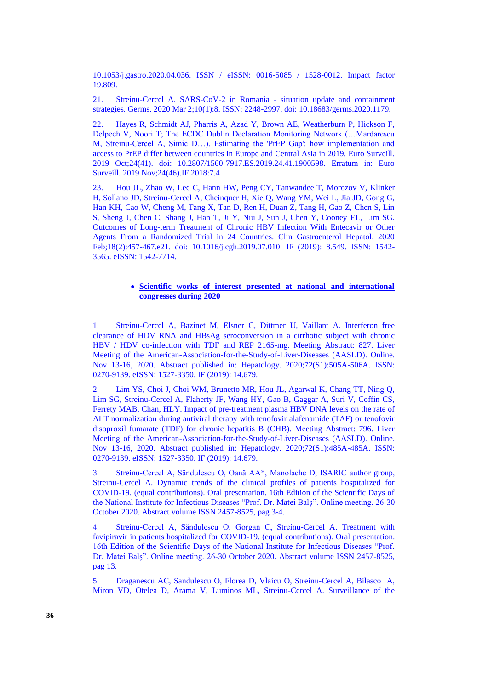10.1053/j.gastro.2020.04.036. ISSN / eISSN: 0016-5085 / 1528-0012. Impact factor 19.809.

21. Streinu-Cercel A. SARS-CoV-2 in Romania - situation update and containment strategies. Germs. 2020 Mar 2;10(1):8. ISSN: 2248-2997. doi: 10.18683/germs.2020.1179.

22. Hayes R, Schmidt AJ, Pharris A, Azad Y, Brown AE, Weatherburn P, Hickson F, Delpech V, Noori T; The ECDC Dublin Declaration Monitoring Network (…Mardarescu M, Streinu-Cercel A, Simic D…). Estimating the 'PrEP Gap': how implementation and access to PrEP differ between countries in Europe and Central Asia in 2019. Euro Surveill. 2019 Oct;24(41). doi: 10.2807/1560-7917.ES.2019.24.41.1900598. Erratum in: Euro Surveill. 2019 Nov;24(46).IF 2018:7.4

23. Hou JL, Zhao W, Lee C, Hann HW, Peng CY, Tanwandee T, Morozov V, Klinker H, Sollano JD, Streinu-Cercel A, Cheinquer H, Xie Q, Wang YM, Wei L, Jia JD, Gong G, Han KH, Cao W, Cheng M, Tang X, Tan D, Ren H, Duan Z, Tang H, Gao Z, Chen S, Lin S, Sheng J, Chen C, Shang J, Han T, Ji Y, Niu J, Sun J, Chen Y, Cooney EL, Lim SG. Outcomes of Long-term Treatment of Chronic HBV Infection With Entecavir or Other Agents From a Randomized Trial in 24 Countries. Clin Gastroenterol Hepatol. 2020 Feb;18(2):457-467.e21. doi: 10.1016/j.cgh.2019.07.010. IF (2019): 8.549. ISSN: 1542- 3565. eISSN: 1542-7714.

#### • **Scientific works of interest presented at national and international congresses during 2020**

1. Streinu-Cercel A, Bazinet M, Elsner C, Dittmer U, Vaillant A. Interferon free clearance of HDV RNA and HBsAg seroconversion in a cirrhotic subject with chronic HBV / HDV co-infection with TDF and REP 2165-mg. Meeting Abstract: 827. Liver Meeting of the American-Association-for-the-Study-of-Liver-Diseases (AASLD). Online. Nov 13-16, 2020. Abstract published in: Hepatology. 2020;72(S1):505A-506A. ISSN: 0270-9139. eISSN: 1527-3350. IF (2019): 14.679.

2. Lim YS, Choi J, Choi WM, Brunetto MR, Hou JL, Agarwal K, Chang TT, Ning Q, Lim SG, Streinu-Cercel A, Flaherty JF, Wang HY, Gao B, Gaggar A, Suri V, Coffin CS, Ferrety MAB, Chan, HLY. Impact of pre-treatment plasma HBV DNA levels on the rate of ALT normalization during antiviral therapy with tenofovir alafenamide (TAF) or tenofovir disoproxil fumarate (TDF) for chronic hepatitis B (CHB). Meeting Abstract: 796. Liver Meeting of the American-Association-for-the-Study-of-Liver-Diseases (AASLD). Online. Nov 13-16, 2020. Abstract published in: Hepatology. 2020;72(S1):485A-485A. ISSN: 0270-9139. eISSN: 1527-3350. IF (2019): 14.679.

3. Streinu-Cercel A, Săndulescu O, Oană AA\*, Manolache D, ISARIC author group, Streinu-Cercel A. Dynamic trends of the clinical profiles of patients hospitalized for COVID-19. (equal contributions). Oral presentation. 16th Edition of the Scientific Days of the National Institute for Infectious Diseases "Prof. Dr. Matei Balş". Online meeting. 26-30 October 2020. Abstract volume ISSN 2457-8525, pag 3-4.

4. Streinu-Cercel A, Săndulescu O, Gorgan C, Streinu-Cercel A. Treatment with favipiravir in patients hospitalized for COVID-19. (equal contributions). Oral presentation. 16th Edition of the Scientific Days of the National Institute for Infectious Diseases "Prof. Dr. Matei Balş". Online meeting. 26-30 October 2020. Abstract volume ISSN 2457-8525, pag 13.

5. Draganescu AC, Sandulescu O, Florea D, Vlaicu O, Streinu-Cercel A, Bilasco A, Miron VD, Otelea D, Arama V, Luminos ML, Streinu-Cercel A. Surveillance of the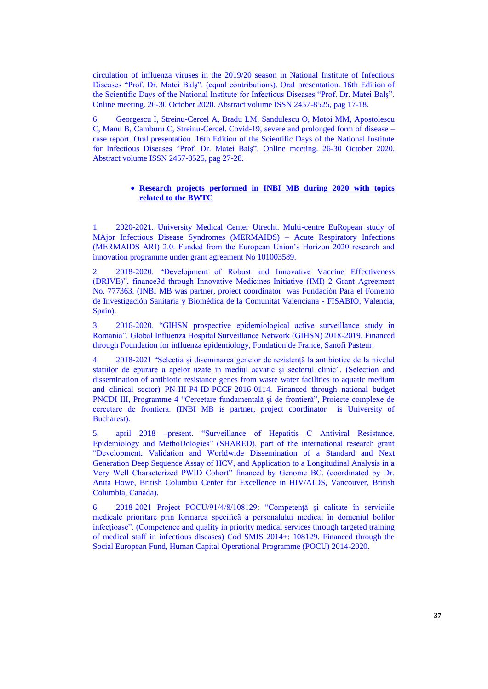circulation of influenza viruses in the 2019/20 season in National Institute of Infectious Diseases "Prof. Dr. Matei Balş". (equal contributions). Oral presentation. 16th Edition of the Scientific Days of the National Institute for Infectious Diseases "Prof. Dr. Matei Balş". Online meeting. 26-30 October 2020. Abstract volume ISSN 2457-8525, pag 17-18.

6. Georgescu I, Streinu-Cercel A, Bradu LM, Sandulescu O, Motoi MM, Apostolescu C, Manu B, Camburu C, Streinu-Cercel. Covid-19, severe and prolonged form of disease – case report. Oral presentation. 16th Edition of the Scientific Days of the National Institute for Infectious Diseases "Prof. Dr. Matei Balş". Online meeting. 26-30 October 2020. Abstract volume ISSN 2457-8525, pag 27-28.

### • **Research projects performed in INBI MB during 2020 with topics related to the BWTC**

1. 2020-2021. University Medical Center Utrecht. Multi-centre EuRopean study of MAjor Infectious Disease Syndromes (MERMAIDS) – Acute Respiratory Infections (MERMAIDS ARI) 2.0. Funded from the European Union's Horizon 2020 research and innovation programme under grant agreement No 101003589.

2. 2018-2020. "Development of Robust and Innovative Vaccine Effectiveness (DRIVE)", finance3d through Innovative Medicines Initiative (IMI) 2 Grant Agreement No. 777363. (INBI MB was partner, project coordinator was Fundación Para el Fomento de Investigación Sanitaria y Biomédica de la Comunitat Valenciana - FISABIO, Valencia, Spain).

3. 2016-2020. "GIHSN prospective epidemiological active surveillance study in Romania". Global Influenza Hospital Surveillance Network (GIHSN) 2018-2019. Financed through Foundation for influenza epidemiology, Fondation de France, Sanofi Pasteur.

4. 2018-2021 "Selecția și diseminarea genelor de rezistență la antibiotice de la nivelul stațiilor de epurare a apelor uzate în mediul acvatic și sectorul clinic". (Selection and dissemination of antibiotic resistance genes from waste water facilities to aquatic medium and clinical sector) PN-III-P4-ID-PCCF-2016-0114. Financed through national budget PNCDI III, Programme 4 "Cercetare fundamentală și de frontieră", Proiecte complexe de cercetare de frontieră. (INBI MB is partner, project coordinator is University of Bucharest).

5. april 2018 –present. "Surveillance of Hepatitis C Antiviral Resistance, Epidemiology and MethoDologies" (SHARED), part of the international research grant "Development, Validation and Worldwide Dissemination of a Standard and Next Generation Deep Sequence Assay of HCV, and Application to a Longitudinal Analysis in a Very Well Characterized PWID Cohort" financed by Genome BC. (coordinated by Dr. Anita Howe, British Columbia Center for Excellence in HIV/AIDS, Vancouver, British Columbia, Canada).

6. 2018-2021 Project POCU/91/4/8/108129: "Competență și calitate în serviciile medicale prioritare prin formarea specifică a personalului medical în domeniul bolilor infecțioase". (Competence and quality in priority medical services through targeted training of medical staff in infectious diseases) Cod SMIS 2014+: 108129. Financed through the Social European Fund, Human Capital Operational Programme (POCU) 2014-2020.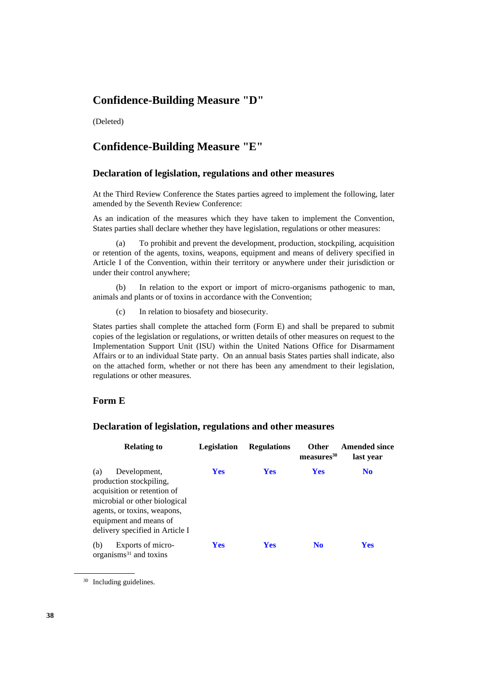# **Confidence-Building Measure "D"**

(Deleted)

# **Confidence-Building Measure "E"**

#### **Declaration of legislation, regulations and other measures**

At the Third Review Conference the States parties agreed to implement the following, later amended by the Seventh Review Conference:

As an indication of the measures which they have taken to implement the Convention, States parties shall declare whether they have legislation, regulations or other measures:

(a) To prohibit and prevent the development, production, stockpiling, acquisition or retention of the agents, toxins, weapons, equipment and means of delivery specified in Article I of the Convention, within their territory or anywhere under their jurisdiction or under their control anywhere;

(b) In relation to the export or import of micro-organisms pathogenic to man, animals and plants or of toxins in accordance with the Convention;

(c) In relation to biosafety and biosecurity.

States parties shall complete the attached form (Form E) and shall be prepared to submit copies of the legislation or regulations, or written details of other measures on request to the Implementation Support Unit (ISU) within the United Nations Office for Disarmament Affairs or to an individual State party. On an annual basis States parties shall indicate, also on the attached form, whether or not there has been any amendment to their legislation, regulations or other measures.

## **Form E**

## **Declaration of legislation, regulations and other measures**

| <b>Relating to</b>                                                                                                                                                                                         | <b>Legislation</b> | <b>Regulations</b> | <b>Other</b><br>measures <sup>30</sup> | <b>Amended since</b><br>last year |
|------------------------------------------------------------------------------------------------------------------------------------------------------------------------------------------------------------|--------------------|--------------------|----------------------------------------|-----------------------------------|
| Development,<br>(a)<br>production stockpiling,<br>acquisition or retention of<br>microbial or other biological<br>agents, or toxins, weapons,<br>equipment and means of<br>delivery specified in Article I | <b>Yes</b>         | <b>Yes</b>         | <b>Yes</b>                             | N <sub>0</sub>                    |
| Exports of micro-<br>(b)<br>organisms $31$ and toxins                                                                                                                                                      | <b>Yes</b>         | <b>Yes</b>         | N <sub>0</sub>                         | <b>Yes</b>                        |

<sup>30</sup> Including guidelines.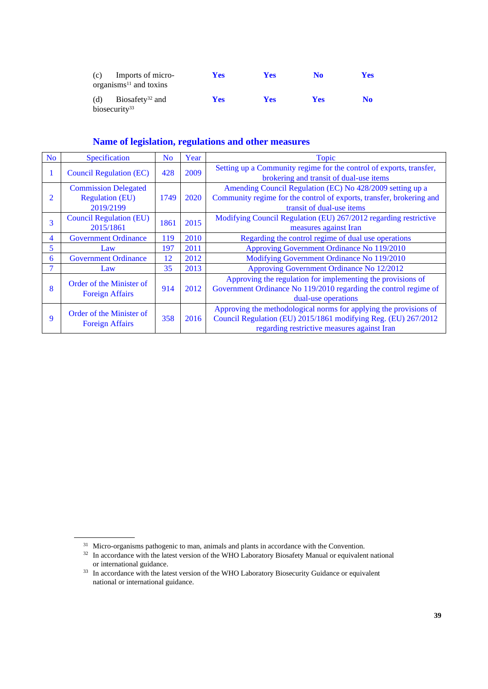| (c)                              | Imports of micro-<br>organisms $^{11}$ and toxins | <b>Yes</b> | Yes        | N <sub>0</sub> | <b>Yes</b> |
|----------------------------------|---------------------------------------------------|------------|------------|----------------|------------|
| (d)<br>biosecurity <sup>33</sup> | Biosafety <sup>32</sup> and                       | <b>Yes</b> | <b>Yes</b> | <b>Yes</b>     | No         |

| N <sub>0</sub> | Specification                                                      | N <sub>o</sub> | Year | Topic                                                                                                                                                                              |
|----------------|--------------------------------------------------------------------|----------------|------|------------------------------------------------------------------------------------------------------------------------------------------------------------------------------------|
|                | <b>Council Regulation (EC)</b>                                     | 428            | 2009 | Setting up a Community regime for the control of exports, transfer,<br>brokering and transit of dual-use items                                                                     |
| 2              | <b>Commission Delegated</b><br><b>Regulation (EU)</b><br>2019/2199 | 1749           | 2020 | Amending Council Regulation (EC) No 428/2009 setting up a<br>Community regime for the control of exports, transfer, brokering and<br>transit of dual-use items                     |
| 3              | <b>Council Regulation (EU)</b><br>2015/1861                        | 1861           | 2015 | Modifying Council Regulation (EU) 267/2012 regarding restrictive<br>measures against Iran                                                                                          |
| $\overline{4}$ | <b>Government Ordinance</b>                                        | 119            | 2010 | Regarding the control regime of dual use operations                                                                                                                                |
| 5              | Law                                                                | 197            | 2011 | Approving Government Ordinance No 119/2010                                                                                                                                         |
| 6              | <b>Government Ordinance</b>                                        | 12             | 2012 | Modifying Government Ordinance No 119/2010                                                                                                                                         |
| 7              | Law                                                                | 35             | 2013 | Approving Government Ordinance No 12/2012                                                                                                                                          |
| 8              | Order of the Minister of<br><b>Foreign Affairs</b>                 | 914            | 2012 | Approving the regulation for implementing the provisions of<br>Government Ordinance No 119/2010 regarding the control regime of<br>dual-use operations                             |
| 9              | Order of the Minister of<br><b>Foreign Affairs</b>                 | 358            | 2016 | Approving the methodological norms for applying the provisions of<br>Council Regulation (EU) 2015/1861 modifying Reg. (EU) 267/2012<br>regarding restrictive measures against Iran |

<sup>&</sup>lt;sup>31</sup> Micro-organisms pathogenic to man, animals and plants in accordance with the Convention.

 $32$  In accordance with the latest version of the WHO Laboratory Biosafety Manual or equivalent national or international guidance.

<sup>&</sup>lt;sup>33</sup> In accordance with the latest version of the WHO Laboratory Biosecurity Guidance or equivalent national or international guidance.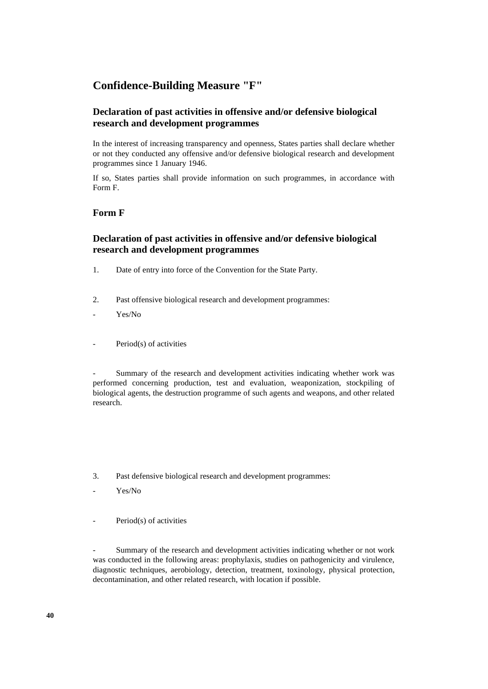# **Confidence-Building Measure "F"**

# **Declaration of past activities in offensive and/or defensive biological research and development programmes**

In the interest of increasing transparency and openness, States parties shall declare whether or not they conducted any offensive and/or defensive biological research and development programmes since 1 January 1946.

If so, States parties shall provide information on such programmes, in accordance with Form F.

# **Form F**

# **Declaration of past activities in offensive and/or defensive biological research and development programmes**

- 1. Date of entry into force of the Convention for the State Party.
- 2. Past offensive biological research and development programmes:
- Yes/No
- Period(s) of activities

Summary of the research and development activities indicating whether work was performed concerning production, test and evaluation, weaponization, stockpiling of biological agents, the destruction programme of such agents and weapons, and other related research.

- 3. Past defensive biological research and development programmes:
- Yes/No
- Period(s) of activities

Summary of the research and development activities indicating whether or not work was conducted in the following areas: prophylaxis, studies on pathogenicity and virulence, diagnostic techniques, aerobiology, detection, treatment, toxinology, physical protection, decontamination, and other related research, with location if possible.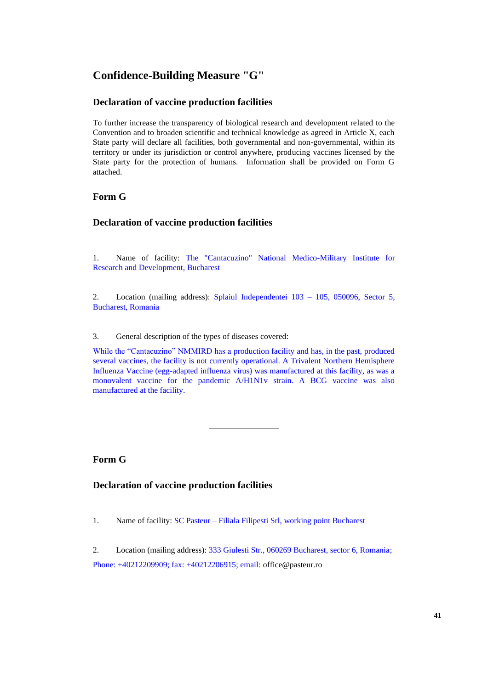# **Confidence-Building Measure "G"**

# **Declaration of vaccine production facilities**

To further increase the transparency of biological research and development related to the Convention and to broaden scientific and technical knowledge as agreed in Article X, each State party will declare all facilities, both governmental and non-governmental, within its territory or under its jurisdiction or control anywhere, producing vaccines licensed by the State party for the protection of humans. Information shall be provided on Form G attached.

# **Form G**

## **Declaration of vaccine production facilities**

1. Name of facility: The "Cantacuzino" National Medico-Military Institute for Research and Development, Bucharest

2. Location (mailing address): Splaiul Independentei 103 – 105, 050096, Sector 5, Bucharest, Romania

3. General description of the types of diseases covered:

While the "Cantacuzino" NMMIRD has a production facility and has, in the past, produced several vaccines, the facility is not currently operational. A Trivalent Northern Hemisphere Influenza Vaccine (egg-adapted influenza virus) was manufactured at this facility, as was a monovalent vaccine for the pandemic A/H1N1v strain. A BCG vaccine was also manufactured at the facility.

# **Form G**

**Declaration of vaccine production facilities**

1. Name of facility: SC Pasteur – Filiala Filipesti Srl, working point Bucharest

2. Location (mailing address): 333 Giulesti Str., 060269 Bucharest, sector 6, Romania; Phone: +40212209909; fax: +40212206915; email: [office@pasteur.ro](mailto:office@pasteur.ro)